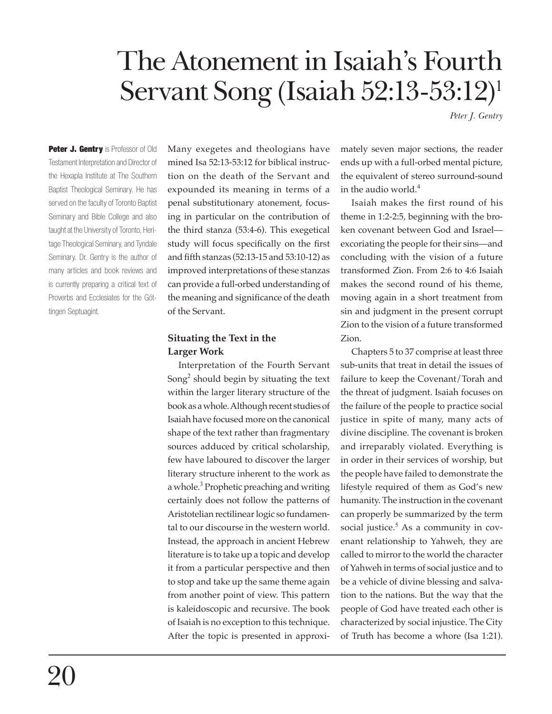# The Atonement in Isaiah's Fourth Servant Song (Isaiah 52:13-53:12)<sup>1</sup>

*Peter J. Gentry*

Peter J. Gentry is Professor of Old Testament Interpretation and Director of the Hexapla Institute at The Southern Baptist Theological Seminary. He has served on the faculty of Toronto Baptist Seminary and Bible College and also taught at the University of Toronto, Heritage Theological Seminary, and Tyndale Seminary. Dr. Gentry is the author of many articles and book reviews and is currently preparing a critical text of Proverbs and Ecclesiates for the Göttingen Septuagint.

Many exegetes and theologians have mined Isa 52:13-53:12 for biblical instruction on the death of the Servant and expounded its meaning in terms of a penal substitutionary atonement, focusing in particular on the contribution of the third stanza (53:4-6). This exegetical study will focus specifically on the first and fifth stanzas (52:13-15 and 53:10-12) as improved interpretations of these stanzas can provide a full-orbed understanding of the meaning and significance of the death of the Servant.

#### **Situating the Text in the Larger Work**

Interpretation of the Fourth Servant Song $2$  should begin by situating the text within the larger literary structure of the book as a whole. Although recent studies of Isaiah have focused more on the canonical shape of the text rather than fragmentary sources adduced by critical scholarship, few have laboured to discover the larger literary structure inherent to the work as a whole.<sup>3</sup> Prophetic preaching and writing certainly does not follow the patterns of Aristotelian rectilinear logic so fundamental to our discourse in the western world. Instead, the approach in ancient Hebrew literature is to take up a topic and develop it from a particular perspective and then to stop and take up the same theme again from another point of view. This pattern is kaleidoscopic and recursive. The book of Isaiah is no exception to this technique. After the topic is presented in approximately seven major sections, the reader ends up with a full-orbed mental picture, the equivalent of stereo surround-sound in the audio world. $4$ 

Isaiah makes the first round of his theme in 1:2-2:5, beginning with the broken covenant between God and Israel excoriating the people for their sins—and concluding with the vision of a future transformed Zion. From 2:6 to 4:6 Isaiah makes the second round of his theme, moving again in a short treatment from sin and judgment in the present corrupt Zion to the vision of a future transformed Zion.

Chapters 5 to 37 comprise at least three sub-units that treat in detail the issues of failure to keep the Covenant/Torah and the threat of judgment. Isaiah focuses on the failure of the people to practice social justice in spite of many, many acts of divine discipline. The covenant is broken and irreparably violated. Everything is in order in their services of worship, but the people have failed to demonstrate the lifestyle required of them as God's new humanity. The instruction in the covenant can properly be summarized by the term social justice.<sup>5</sup> As a community in covenant relationship to Yahweh, they are called to mirror to the world the character of Yah weh in terms of social justice and to be a vehicle of divine blessing and salvation to the nations. But the way that the people of God have treated each other is characterized by social injustice. The City of Truth has become a whore (Isa 1:21).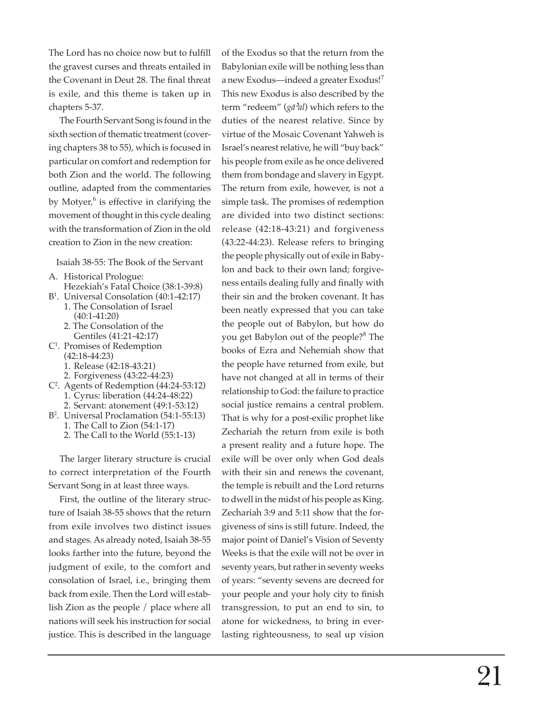The Lord has no choice now but to fulfill the gravest curses and threats entailed in the Covenant in Deut 28. The final threat is exile, and this theme is taken up in chapters 5-37.

The Fourth Servant Song is found in the sixth section of thematic treatment (covering chapters 38 to 55), which is focused in particular on comfort and redemption for both Zion and the world. The following outline, adapted from the commentaries by Motyer,<sup>6</sup> is effective in clarifying the movement of thought in this cycle dealing with the transformation of Zion in the old creation to Zion in the new creation:

Isaiah 38-55: The Book of the Servant

- A. Historical Prologue: Hezekiah's Fatal Choice (38:1-39:8)
- B1 . Universal Consolation (40:1-42:17) 1. The Consolation of Israel (40:1-41:20)
	- 2. The Consolation of the Gentiles (41:21-42:17)
- C1 . Promises of Redemption (42:18-44:23)
	- 1. Release (42:18-43:21)
	- 2. Forgiveness (43:22-44:23)
- C2 . Agents of Redemption (44:24-53:12) 1. Cyrus: liberation (44:24-48:22) 2. Servant: atonement (49:1-53:12)
- B2 . Universal Proclamation (54:1-55:13) 1. The Call to Zion (54:1-17)
	- 2. The Call to the World (55:1-13)

The larger literary structure is crucial to correct interpretation of the Fourth Servant Song in at least three ways.

First, the outline of the literary structure of Isaiah 38-55 shows that the return from exile involves two distinct issues and stages. As already noted, Isaiah 38-55 looks farther into the future, beyond the judgment of exile, to the comfort and consolation of Israel, i.e., bringing them back from exile. Then the Lord will establish Zion as the people / place where all nations will seek his instruction for social justice. This is described in the language

of the Exodus so that the return from the Babylonian exile will be nothing less than a new Exodus—indeed a greater Exodus!<sup>7</sup> This new Exodus is also described by the term "redeem" (*gā*'*al*) which refers to the duties of the nearest relative. Since by virtue of the Mosaic Covenant Yahweh is Israel's nearest relative, he will "buy back" his people from exile as he once delivered them from bondage and slavery in Egypt. The return from exile, however, is not a simple task. The promises of redemption are divided into two distinct sections: release (42:18-43:21) and forgiveness (43:22-44:23). Release refers to bringing the people physically out of exile in Babylon and back to their own land; forgiveness entails dealing fully and finally with their sin and the broken covenant. It has been neatly expressed that you can take the people out of Babylon, but how do you get Babylon out of the people?<sup>8</sup> The books of Ezra and Nehemiah show that the people have returned from exile, but have not changed at all in terms of their relationship to God: the failure to practice social justice remains a central problem. That is why for a post-exilic prophet like Zechariah the return from exile is both a present reality and a future hope. The exile will be over only when God deals with their sin and renews the covenant, the temple is rebuilt and the Lord returns to dwell in the midst of his people as King. Zechariah 3:9 and 5:11 show that the forgiveness of sins is still future. Indeed, the major point of Daniel's Vision of Seventy Weeks is that the exile will not be over in seventy years, but rather in seventy weeks of years: "seventy sevens are decreed for your people and your holy city to finish transgression, to put an end to sin, to atone for wickedness, to bring in everlasting righteousness, to seal up vision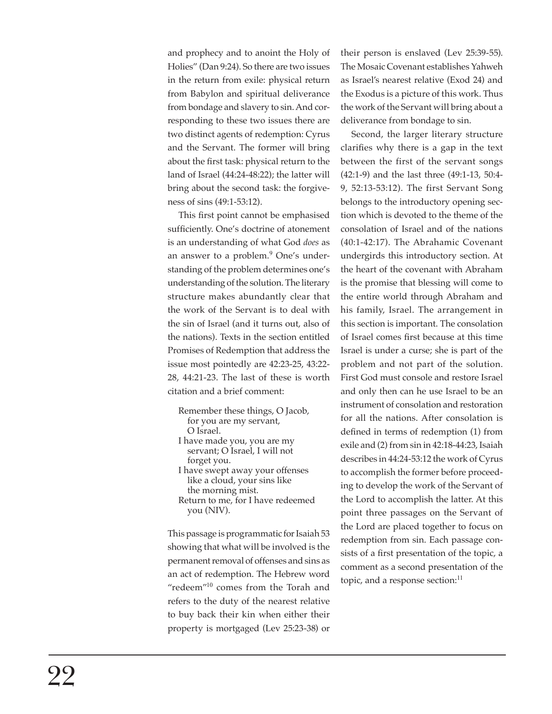and prophecy and to anoint the Holy of Holies" (Dan 9:24). So there are two issues in the return from exile: physical return from Babylon and spiritual deliverance from bondage and slavery to sin. And corresponding to these two issues there are two distinct agents of redemption: Cyrus and the Servant. The former will bring about the first task: physical return to the land of Israel (44:24-48:22); the latter will bring about the second task: the forgiveness of sins (49:1-53:12).

This first point cannot be emphasised sufficiently. One's doctrine of atonement is an understanding of what God *does* as an answer to a problem.<sup>9</sup> One's understanding of the problem determines one's understanding of the solution. The literary structure makes abundantly clear that the work of the Servant is to deal with the sin of Israel (and it turns out, also of the nations). Texts in the section entitled Promises of Redemption that address the issue most pointedly are 42:23-25, 43:22- 28, 44:21-23. The last of these is worth citation and a brief comment:

Remember these things, O Jacob, for you are my servant, O Israel.

- I have made you, you are my servant; O Israel, I will not forget you. I have swept away your offenses
- like a cloud, your sins like the morning mist. Return to me, for I have redeemed
- you (NIV).

This passage is programmatic for Isaiah 53 showing that what will be involved is the permanent removal of offenses and sins as an act of redemption. The Hebrew word "redeem"<sup>10</sup> comes from the Torah and refers to the duty of the nearest relative to buy back their kin when either their property is mortgaged (Lev 25:23-38) or their person is enslaved (Lev 25:39-55). The Mosaic Covenant establishes Yahweh as Israel's nearest relative (Exod 24) and the Exodus is a picture of this work. Thus the work of the Servant will bring about a deliverance from bondage to sin.

Second, the larger literary structure clarifies why there is a gap in the text between the first of the servant songs (42:1-9) and the last three (49:1-13, 50:4- 9, 52:13-53:12). The first Servant Song belongs to the introductory opening section which is devoted to the theme of the consolation of Israel and of the nations (40:1-42:17). The Abrahamic Covenant undergirds this introductory section. At the heart of the covenant with Abraham is the promise that blessing will come to the entire world through Abraham and his family, Israel. The arrangement in this section is important. The consolation of Israel comes first because at this time Israel is under a curse; she is part of the problem and not part of the solution. First God must console and restore Israel and only then can he use Israel to be an instrument of consolation and restoration for all the nations. After consolation is defined in terms of redemption (1) from exile and (2) from sin in 42:18-44:23, Isaiah describes in 44:24-53:12 the work of Cyrus to accomplish the former before proceeding to develop the work of the Servant of the Lord to accomplish the latter. At this point three passages on the Servant of the Lord are placed together to focus on redemption from sin. Each passage consists of a first presentation of the topic, a comment as a second presentation of the topic, and a response section:<sup>11</sup>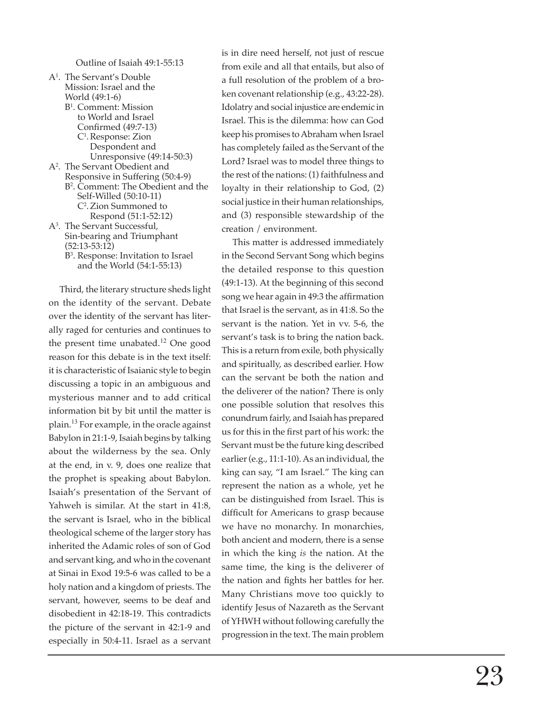Outline of Isaiah 49:1-55:13

A 1 . The Servant's Double Mission: Israel and the World (49:1-6) B 1 . Comment: Mission to World and Israel Confirmed (49:7-13) C 1 . Response: Zion Despondent and Unresponsive (49:14-50:3) A2 . The Servant Obedient and Responsive in Suffering (50:4-9) B 2 . Comment: The Obedient and the Self-Willed (50:10-11) C 2 . Zion Summoned to Respond (51:1-52:12) A3 . The Servant Successful, Sin-bearing and Triumphant (52:13-53:12) B 3 . Response: Invitation to Israel and the World (54:1-55:13)

Third, the literary structure sheds light on the identity of the servant. Debate over the identity of the servant has literally raged for centuries and continues to the present time unabated.<sup>12</sup> One good reason for this debate is in the text itself: it is characteristic of Isaianic style to begin discussing a topic in an ambiguous and mysterious manner and to add critical information bit by bit until the matter is plain.<sup>13</sup> For example, in the oracle against Babylon in 21:1-9, Isaiah begins by talking about the wilderness by the sea. Only at the end, in v. 9, does one realize that the prophet is speaking about Babylon. Isaiah's presentation of the Servant of Yahweh is similar. At the start in 41:8, the servant is Israel, who in the biblical theological scheme of the larger story has inherited the Adamic roles of son of God and servant king, and who in the covenant at Sinai in Exod 19:5-6 was called to be a holy nation and a kingdom of priests. The servant, however, seems to be deaf and disobedient in 42:18-19. This contradicts the picture of the servant in 42:1-9 and especially in 50:4-11. Israel as a servant is in dire need herself, not just of rescue from exile and all that entails, but also of a full resolution of the problem of a broken covenant relationship (e.g., 43:22-28). Idolatry and social injustice are endemic in Israel. This is the dilemma: how can God keep his promises to Abraham when Israel has completely failed as the Servant of the Lord? Israel was to model three things to the rest of the nations: (1) faithfulness and loyalty in their relationship to God, (2) social justice in their human relationships, and (3) responsible stewardship of the creation / environment.

This matter is addressed immediately in the Second Servant Song which begins the detailed response to this question (49:1-13). At the beginning of this second song we hear again in 49:3 the af fi rmation that Israel is the servant, as in 41:8. So the servant is the nation. Yet in vv. 5-6, the servant's task is to bring the nation back. This is a return from exile, both physically and spiritually, as described earlier. How can the servant be both the nation and the deliverer of the nation? There is only one possible solution that resolves this conundrum fairly, and Isaiah has prepared us for this in the first part of his work: the Servant must be the future king described earlier (e.g., 11:1-10). As an individual, the king can say, "I am Israel." The king can represent the nation as a whole, yet he can be distinguished from Israel. This is difficult for Americans to grasp because we have no monarchy. In monarchies, both ancient and modern, there is a sense in which the king *is* the nation. At the same time, the king is the deliverer of the nation and fights her battles for her. Many Christians move too quickly to identify Jesus of Nazareth as the Servant of YHWH without following carefully the progression in the text. The main problem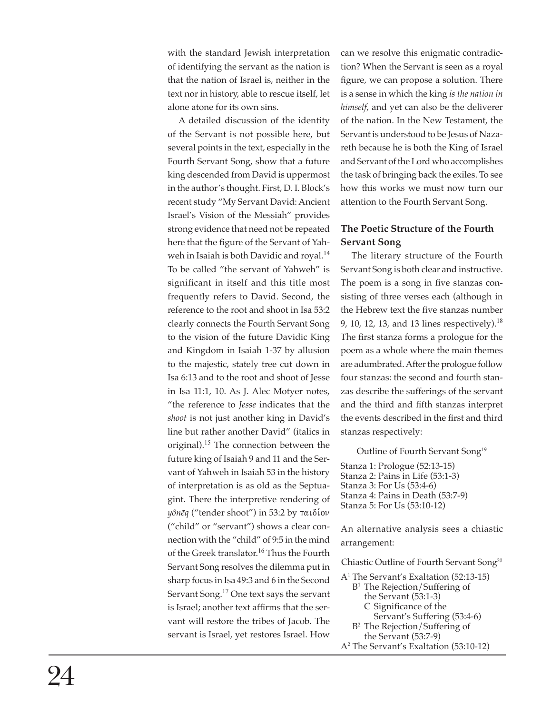with the standard Jewish interpretation of identifying the servant as the nation is that the nation of Israel is, neither in the text nor in history, able to rescue itself, let alone atone for its own sins.

A detailed discussion of the identity of the Servant is not possible here, but several points in the text, especially in the Fourth Servant Song, show that a future king descended from David is uppermost in the author's thought. First, D. I. Block's recent study "My Servant David: Ancient Israel's Vision of the Messiah" provides strong evidence that need not be repeated here that the figure of the Servant of Yahweh in Isaiah is both Davidic and royal.<sup>14</sup> To be called "the servant of Yahweh" is significant in itself and this title most frequently refers to David. Second, the reference to the root and shoot in Isa 53:2 clearly connects the Fourth Servant Song to the vision of the future Davidic King and Kingdom in Isaiah 1-37 by allusion to the majestic, stately tree cut down in Isa 6:13 and to the root and shoot of Jesse in Isa 11:1, 10. As J. Alec Motyer notes, "the reference to *Jesse* indicates that the *shoot* is not just another king in David's line but rather another David" (italics in original).<sup>15</sup> The connection between the future king of Isaiah 9 and 11 and the Servant of Yahweh in Isaiah 53 in the history of interpretation is as old as the Septuagint. There the interpretive rendering of  $\psi$ *inēq* ("tender shoot") in 53:2 by  $\pi\alpha\iota\delta\omega$ ("child" or "servant") shows a clear connection with the "child" of 9:5 in the mind of the Greek translator.<sup>16</sup> Thus the Fourth Servant Song resolves the dilemma put in sharp focus in Isa 49:3 and 6 in the Second Servant Song.<sup>17</sup> One text says the servant is Israel; another text affirms that the servant will restore the tribes of Jacob. The servant is Israel, yet restores Israel. How

can we resolve this enigmatic contradiction? When the Servant is seen as a royal figure, we can propose a solution. There is a sense in which the king *is the nation in himself*, and yet can also be the deliverer of the nation. In the New Testament, the Servant is understood to be Jesus of Nazareth because he is both the King of Israel and Servant of the Lord who accomplishes the task of bringing back the exiles. To see how this works we must now turn our attention to the Fourth Servant Song.

# **The Poetic Structure of the Fourth Servant Song**

The literary structure of the Fourth Servant Song is both clear and instructive. The poem is a song in five stanzas consisting of three verses each (although in the Hebrew text the five stanzas number 9, 10, 12, 13, and 13 lines respectively).<sup>18</sup> The first stanza forms a prologue for the poem as a whole where the main themes are adumbrated. After the prologue follow four stanzas: the second and fourth stanzas describe the sufferings of the servant and the third and fifth stanzas interpret the events described in the first and third stanzas respectively:

Outline of Fourth Servant Song<sup>19</sup>

Stanza 1: Prologue (52:13-15) Stanza 2: Pains in Life (53:1-3) Stanza 3: For Us (53:4-6) Stanza 4: Pains in Death (53:7-9) Stanza 5: For Us (53:10-12)

An alternative analysis sees a chiastic arrangement:

Chiastic Outline of Fourth Servant Song20

- A1 The Servant's Exaltation (52:13-15) B1 The Rejection/Suffering of the Servant (53:1-3) C Significance of the Servant's Suffering (53:4-6) B<sup>2</sup> The Rejection/Suffering of
	- the Servant (53:7-9)
- A2 The Servant's Exaltation (53:10-12)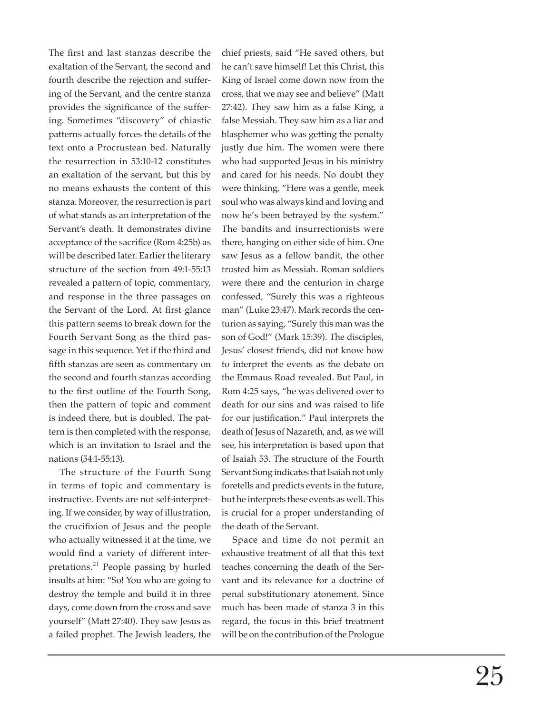The first and last stanzas describe the exaltation of the Servant, the second and fourth describe the rejection and suffering of the Servant, and the centre stanza provides the significance of the suffering. Sometimes "discovery" of chiastic patterns actually forces the details of the text onto a Procrustean bed. Naturally the resurrection in 53:10-12 constitutes an exaltation of the servant, but this by no means exhausts the content of this stanza. Moreover, the resurrection is part of what stands as an interpretation of the Servant's death. It demonstrates divine acceptance of the sacrifice (Rom 4:25b) as will be described later. Earlier the literary structure of the section from 49:1-55:13 revealed a pattern of topic, commentary, and response in the three passages on the Servant of the Lord. At first glance this pattern seems to break down for the Fourth Servant Song as the third passage in this sequence. Yet if the third and fifth stanzas are seen as commentary on the second and fourth stanzas according to the first outline of the Fourth Song, then the pattern of topic and comment is indeed there, but is doubled. The pattern is then completed with the response, which is an invitation to Israel and the nations (54:1-55:13).

The structure of the Fourth Song in terms of topic and commentary is instructive. Events are not self-interpreting. If we consider, by way of illustration, the crucifixion of Jesus and the people who actually witnessed it at the time, we would find a variety of different interpretations.<sup>21</sup> People passing by hurled insults at him: "So! You who are going to destroy the temple and build it in three days, come down from the cross and save yourself" (Matt 27:40). They saw Jesus as a failed prophet. The Jewish leaders, the

chief priests, said "He saved others, but he can't save him self! Let this Christ, this King of Israel come down now from the cross, that we may see and believe" (Matt 27:42). They saw him as a false King, a false Messiah. They saw him as a liar and blasphemer who was getting the penalty justly due him. The women were there who had supported Jesus in his ministry and cared for his needs. No doubt they were thinking, "Here was a gentle, meek soul who was always kind and loving and now he's been betrayed by the system." The bandits and insurrectionists were there, hanging on either side of him. One saw Jesus as a fellow bandit, the other trusted him as Messiah. Roman soldiers were there and the centurion in charge confessed, "Surely this was a righteous man" (Luke 23:47). Mark records the centurion as saying, "Surely this man was the son of God!" (Mark 15:39). The disciples, Jesus' closest friends, did not know how to interpret the events as the debate on the Emmaus Road revealed. But Paul, in Rom 4:25 says, "he was delivered over to death for our sins and was raised to life for our justification." Paul interprets the death of Jesus of Nazareth, and, as we will see, his interpretation is based upon that of Isaiah 53. The structure of the Fourth Servant Song indicates that Isaiah not only foretells and predicts events in the future, but he interprets these events as well. This is crucial for a proper understanding of the death of the Servant.

Space and time do not permit an exhaustive treatment of all that this text teaches concerning the death of the Servant and its relevance for a doctrine of penal substitutionary atonement. Since much has been made of stanza 3 in this regard, the focus in this brief treatment will be on the contribution of the Prologue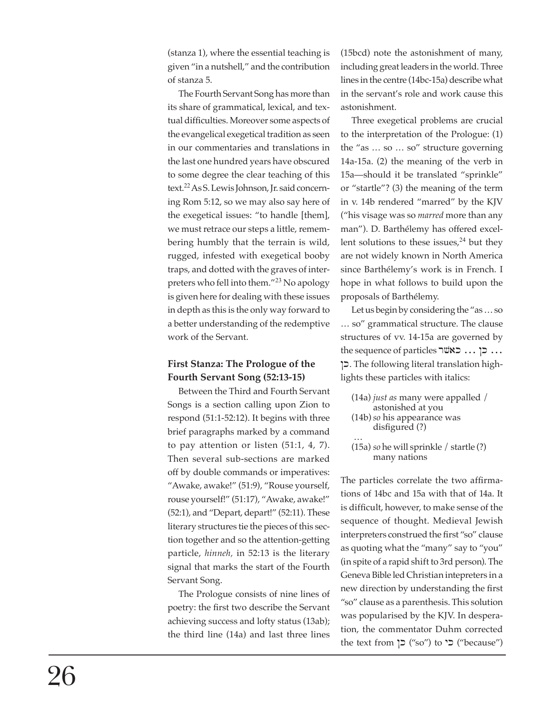(stanza 1), where the essential teaching is given "in a nutshell," and the contribution of stanza 5.

The Fourth Servant Song has more than its share of grammatical, lexical, and textual difficulties. Moreover some aspects of the evangelical exegetical tradition as seen in our commentaries and translations in the last one hundred years have obscured to some degree the clear teaching of this text.<sup>22</sup> As S. Lewis Johnson, Jr. said concerning Rom 5:12, so we may also say here of the exegetical issues: "to handle [them], we must retrace our steps a little, remembering humbly that the terrain is wild, rugged, infested with exegetical booby traps, and dotted with the graves of interpreters who fell into them."<sup>23</sup> No apology is given here for dealing with these issues in depth as this is the only way forward to a better understanding of the redemptive work of the Servant.

# **First Stanza: The Prologue of the Fourth Servant Song (52:13-15)**

Between the Third and Fourth Servant Songs is a section calling upon Zion to respond (51:1-52:12). It begins with three brief paragraphs marked by a command to pay attention or listen (51:1, 4, 7). Then several sub-sections are marked off by double commands or imperatives: "Awake, awake!" (51:9), "Rouse yourself, rouse yourself!" (51:17), "Awake, awake!" (52:1), and "Depart, depart!" (52:11). These literary structures tie the pieces of this section together and so the attention-getting particle, *hinneh,* in 52:13 is the literary signal that marks the start of the Fourth Servant Song.

The Prologue consists of nine lines of poetry: the first two describe the Servant achieving success and lofty status (13ab); the third line (14a) and last three lines

(15bcd) note the astonishment of many, including great leaders in the world. Three lines in the centre (14bc-15a) describe what in the servant's role and work cause this aston ishment.

Three exegetical problems are crucial to the interpretation of the Prologue: (1) the "as … so … so" structure governing 14a-15a. (2) the meaning of the verb in 15a—should it be translated "sprinkle" or "startle"? (3) the meaning of the term in v. 14b rendered "marred" by the KJV ("his visage was so *marred* more than any man"). D. Barthélemy has offered excellent solutions to these issues, $24$  but they are not widely known in North America since Barthélemy's work is in French. I hope in what follows to build upon the proposals of Barthélemy.

Let us begin by considering the "as … so … so" grammatical structure. The clause structures of vv. 14-15a are governed by the sequence of particles ... כן ... כאשר !k. The following literal translation highlights these particles with italics:

- (14a) *just as* many were appalled / astonished at you (14b) *so* his appearance was disfigured (?)
- … (15a) *so* he will sprinkle / startle (?)

many nations

The particles correlate the two affirmations of 14bc and 15a with that of 14a. It is difficult, however, to make sense of the sequence of thought. Medieval Jewish interpreters construed the first "so" clause as quoting what the "many" say to "you" (in spite of a rapid shift to 3rd person). The Geneva Bible led Christian intepreters in a new direction by understanding the first "so" clause as a parenthesis. This solution was popularised by the KJV. In desperation, the commentator Duhm corrected the text from  $\zeta$  ("so") to  $\zeta$ " ("because")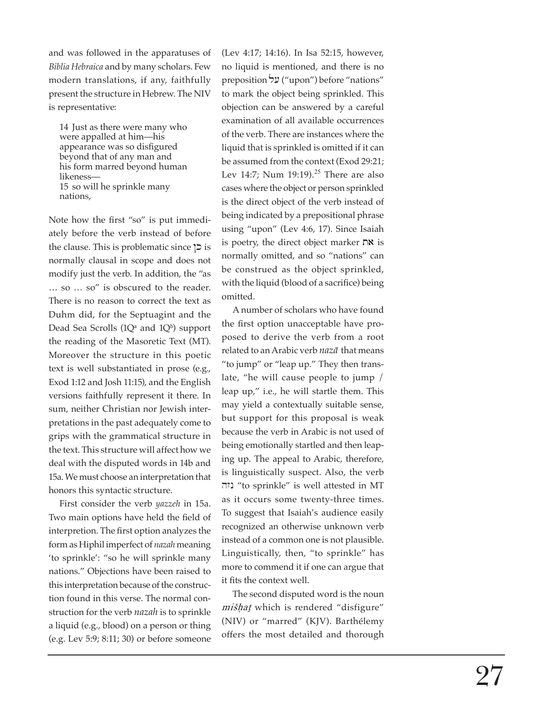and was followed in the apparatuses of *Biblia Hebraica* and by many scholars. Few modern translations, if any, faithfully present the structure in Hebrew. The NIV is representative:

14 Just as there were many who were appalled at him—his appearance was so disfigured beyond that of any man and his form marred beyond human likeness— 15 so will he sprinkle many nations,

Note how the first "so" is put immediately before the verb instead of before the clause. This is problematic since  $\vert$  is normally clausal in scope and does not modify just the verb. In addition, the "as … so … so" is obscured to the reader. There is no reason to correct the text as Duhm did, for the Septuagint and the Dead Sea Scrolls  $(1Q^a \text{ and } 1Q^b)$  support the reading of the Masoretic Text (MT). Moreover the structure in this poetic text is well substantiated in prose (e.g., Exod 1:12 and Josh 11:15), and the English versions faithfully represent it there. In sum, neither Christian nor Jewish interpretations in the past adequately come to grips with the grammatical structure in the text. This structure will affect how we deal with the disputed words in 14b and 15a. We must choose an interpretation that honors this syntactic structure.

First consider the verb *yazzeh* in 15a. Two main options have held the field of interpretion. The first option analyzes the form as Hiphil imperfect of *nazah* meaning 'to sprinkle': "so he will sprinkle many nations." Objections have been raised to this in terpretation because of the construction found in this verse. The normal construction for the verb *nazah* is to sprinkle a liquid (e.g., blood) on a person or thing (e.g. Lev 5:9; 8:11; 30) or before someone

(Lev 4:17; 14:16). In Isa 52:15, however, no liquid is mentioned, and there is no preposition "על ("upon") before "nations" to mark the object being sprinkled. This objection can be answered by a careful examination of all available occurrences of the verb. There are instances where the liquid that is sprinkled is omitted if it can be assumed from the context (Exod 29:21; Lev 14:7; Num 19:19).<sup>25</sup> There are also cases where the object or person sprinkled is the direct object of the verb instead of being indicated by a prepositional phrase using "upon" (Lev 4:6, 17). Since Isaiah is poetry, the direct object marker  $n \times$  is normally omitted, and so "nations" can be construed as the object sprinkled, with the liquid (blood of a sacrifice) being omitted.

A number of scholars who have found the first option unacceptable have proposed to derive the verb from a root related to an Arabic verb *naz ā* that means "to jump" or "leap up." They then translate, "he will cause people to jump / leap up," i.e., he will startle them. This may yield a contextually suitable sense, but support for this proposal is weak because the verb in Arabic is not used of being emotionally startled and then leaping up. The appeal to Arabic, therefore, is linguistically suspect. Also, the verb hzn "to sprinkle" is well attested in MT as it occurs some twenty-three times. To suggest that Isaiah's audience easily recognized an otherwise unknown verb instead of a common one is not plausible. Linguistically, then, "to sprinkle" has more to commend it if one can argue that it fits the context well.

The second disputed word is the noun mišhat which is rendered "disfigure" (NIV) or "marred" (KJV). Barthélemy offers the most detailed and thorough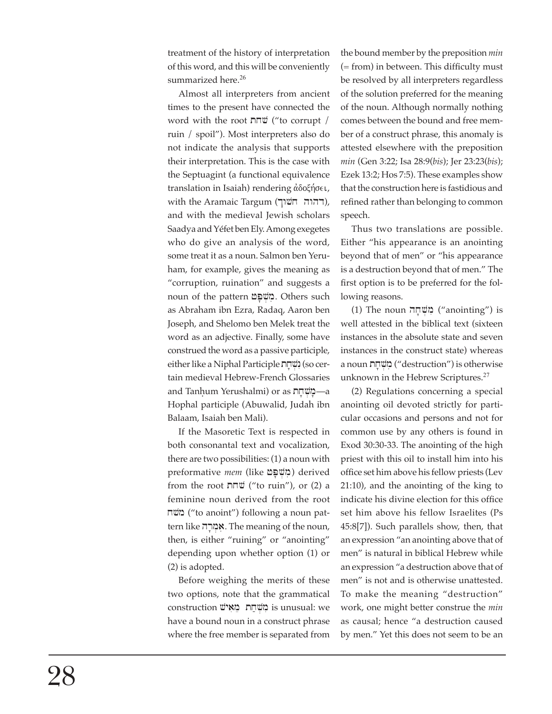treatment of the history of interpretation of this word, and this will be conveniently summarized here.<sup>26</sup>

Almost all interpreters from ancient times to the present have connected the word with the root שחת ("to corrupt / ruin / spoil"). Most interpreters also do not indicate the analysis that supports their interpretation. This is the case with the Septuagint (a functional equivalence translation in Isaiah) rendering άδοξήσει, with the Aramaic Targum (רהוה חשוך), and with the medieval Jewish scholars Saadya and Yéfet ben Ely. Among exegetes who do give an analysis of the word, some treat it as a noun. Salmon ben Yeruham, for example, gives the meaning as "corruption, ruination" and suggests a noun of the pattern משפח. Others such as Abraham ibn Ezra, Radaq, Aaron ben Joseph, and Shelomo ben Melek treat the word as an adjective. Finally, some have construed the word as a passive participle, either like a Niphal Participle נשחת) (so certain medieval Hebrew-French Glossaries and Tanḥum Yerushalmi) or as הַמְשְׁחָת Hophal participle (Abuwalid, Judah ibn Balaam, Isaiah ben Mali).

If the Masoretic Text is respected in both consonantal text and vocalization, there are two possibilities: (1) a noun with preformative *mem* (like *ב*וֹשְׁפַּט) derived from the root  $n \overline{w}$  ("to ruin"), or (2) a feminine noun derived from the root xvm ("to anoint") following a noun pattern like אמרה. The meaning of the noun, then, is either "ruining" or "anointing" depending upon whether option (1) or (2) is adopted.

Before weighing the merits of these two options, note that the grammatical construction מֵשְׁחַת מֵאִישׁ is unusual: we have a bound noun in a construct phrase where the free member is separated from the bound member by the preposition *min*  $(= from)$  in between. This difficulty must be resolved by all interpreters regardless of the solution preferred for the meaning of the noun. Although normally nothing comes between the bound and free member of a construct phrase, this anomaly is attested elsewhere with the preposition *min* (Gen 3:22; Isa 28:9(*bis*); Jer 23:23(*bis*); Ezek 13:2; Hos 7:5). These examples show that the construction here is fastidious and refined rather than belonging to common speech.

Thus two translations are possible. Either "his appearance is an anointing beyond that of men" or "his appearance is a destruction beyond that of men." The first option is to be preferred for the following reasons.

(1) The noun מְשֶׁחָה ("anointing") is well attested in the biblical text (sixteen in stances in the absolute state and seven instances in the construct state) whereas a noun בּוֹשְׁחָת ("destruction") is otherwise unknown in the Hebrew Scriptures. $27$ 

(2) Regulations concerning a special anointing oil devoted strictly for particular occasions and persons and not for common use by any others is found in Exod 30:30-33. The anointing of the high priest with this oil to install him into his office set him above his fellow priests (Lev 21:10), and the anointing of the king to indicate his divine election for this office set him above his fellow Israelites (Ps 45:8[7]). Such parallels show, then, that an expression "an anointing above that of men" is natural in biblical Hebrew while an expression "a destruction above that of men" is not and is otherwise unattested. To make the meaning "destruction" work, one might better construe the *min* as causal; hence "a destruction caused by men." Yet this does not seem to be an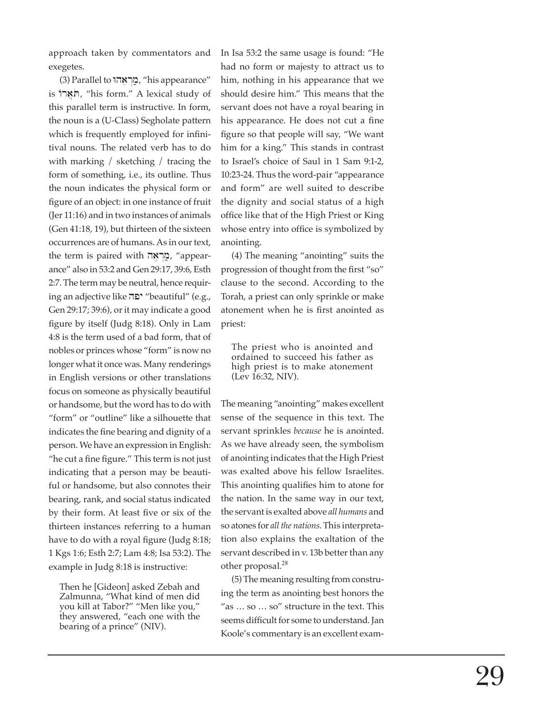approach taken by commentators and exegetes.

(3) Parallel to מֵרְאֵהוּ, "his appearance" is הֹאֲרוֹ, "his form." A lexical study of this parallel term is instructive. In form, the noun is a (U-Class) Segholate pattern which is frequently employed for infinitival nouns. The related verb has to do with marking / sketching / tracing the form of something, i.e., its outline. Thus the noun indicates the physical form or figure of an object: in one instance of fruit (Jer 11:16) and in two instances of animals (Gen 41:18, 19), but thirteen of the sixteen occurrences are of humans. As in our text, the term is paired with הוראה, "appearance" also in 53:2 and Gen 29:17, 39:6, Esth 2:7. The term may be neutral, hence requiring an adjective like hpy "beautiful" (e.g., Gen 29:17; 39:6), or it may indicate a good figure by itself (Judg 8:18). Only in Lam 4:8 is the term used of a bad form, that of nobles or princes whose "form" is now no longer what it once was. Many renderings in English versions or other translations focus on someone as physically beautiful or handsome, but the word has to do with "form" or "outline" like a silhouette that indicates the fine bearing and dignity of a person. We have an expression in English: "he cut a fine figure." This term is not just indicating that a person may be beautiful or handsome, but also connotes their bearing, rank, and social status indicated by their form. At least five or six of the thirteen instances referring to a human have to do with a royal figure (Judg 8:18; 1 Kgs 1:6; Esth 2:7; Lam 4:8; Isa 53:2). The example in Judg 8:18 is instructive:

Then he [Gideon] asked Zebah and Zalmunna, "What kind of men did you kill at Tabor?" "Men like you," they answered, "each one with the bearing of a prince" (NIV).

In Isa 53:2 the same usage is found: "He had no form or majesty to attract us to him, nothing in his appearance that we should desire him." This means that the servant does not have a royal bearing in his appearance. He does not cut a fine figure so that people will say, "We want him for a king." This stands in contrast to Israel's choice of Saul in 1 Sam 9:1-2, 10:23-24. Thus the word-pair "appearance and form" are well suited to describe the dignity and social status of a high office like that of the High Priest or King whose entry into office is symbolized by anointing.

(4) The meaning "anointing" suits the progression of thought from the first "so" clause to the second. According to the Torah, a priest can only sprinkle or make atonement when he is first anointed as priest:

The priest who is anointed and ordained to succeed his father as high priest is to make atonement (Lev 16:32, NIV).

The meaning "anointing" makes excellent sense of the sequence in this text. The servant sprinkles *because* he is anointed. As we have already seen, the symbolism of anointing indicates that the High Priest was exalted above his fellow Israelites. This anointing qualifies him to atone for the nation. In the same way in our text, the ser vant is exalted above *all humans* and so atones for *all the nations*. This interpretation also explains the exaltation of the servant described in v. 13b better than any other proposal.<sup>28</sup>

(5) The meaning resulting from construing the term as anointing best honors the "as … so … so" structure in the text. This seems difficult for some to understand. Jan Koole's commentary is an excellent exam-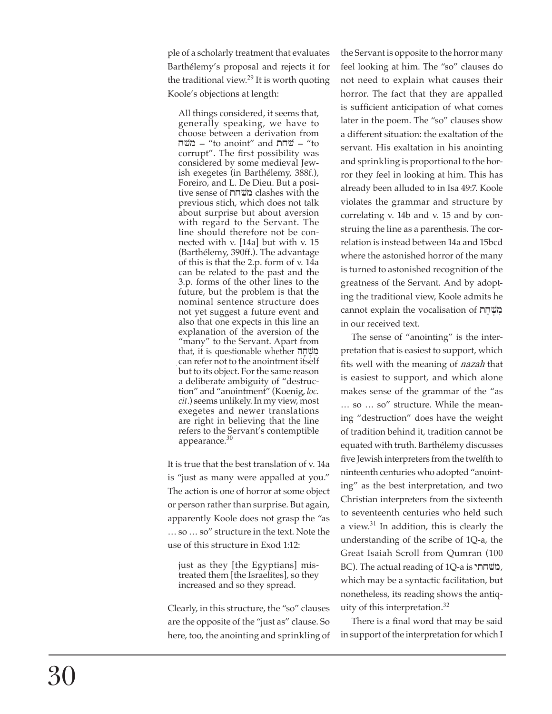ple of a scholarly treatment that evaluates Barthélemy's proposal and rejects it for the traditional view.<sup>29</sup> It is worth quoting Koole's objections at length:

All things considered, it seems that, generally speaking, we have to choose between a derivation from שח $=$  "to anoint" and  $\overline{\mathsf{m}}$  = "to corrupt". The first possibility was considered by some medieval Jewish exegetes (in Barthélemy, 388f.), Foreiro, and L. De Dieu. But a positive sense of txvm clashes with the previous stich, which does not talk about surprise but about aversion with regard to the Servant. The line should therefore not be connected with v. [14a] but with v. 15 (Barthélemy, 390ff.). The advantage of this is that the 2.p. form of v. 14a can be related to the past and the 3.p. forms of the other lines to the future, but the problem is that the nominal sentence structure does not yet suggest a future event and also that one expects in this line an explanation of the aversion of the "many" to the Servant. Apart from that, it is questionable whether מִשְׁהָה<br>can refer not to the anointment itself i but to its object. For the same reason a deliberate ambiguity of "destruction" and "anointment" (Koenig, *loc. cit*.) seems unlikely. In my view, most exegetes and newer translations are right in believing that the line refers to the Servant's contemptible appearance.<sup>30</sup>

It is true that the best translation of v. 14a is "just as many were appalled at you." The action is one of horror at some object or person rather than surprise. But again, apparently Koole does not grasp the "as … so … so" structure in the text. Note the use of this structure in Exod 1:12:

just as they [the Egyptians] mistreated them [the Israelites], so they increased and so they spread.

Clearly, in this structure, the "so" clauses are the opposite of the "just as" clause. So here, too, the anointing and sprinkling of the Servant is opposite to the horror many feel looking at him. The "so" clauses do not need to explain what causes their horror. The fact that they are appalled is sufficient anticipation of what comes later in the poem. The "so" clauses show a different situation: the exaltation of the servant. His exaltation in his anointing and sprinkling is proportional to the horror they feel in looking at him. This has already been alluded to in Isa 49:7. Koole violates the grammar and structure by correlating v. 14b and v. 15 and by construing the line as a parenthesis. The correlation is instead between 14a and 15bcd where the astonished horror of the many is turned to astonished recognition of the greatness of the Servant. And by adopting the traditional view, Koole admits he cannot explain the vocalisation of נושחת in our received text.

The sense of "anointing" is the interpretation that is easiest to support, which<br>fits well with the meaning of *nazah* that is easiest to support, and which alone makes sense of the grammar of the "as … so … so" structure. While the meaning "destruction" does have the weight of tradition behind it, tradition cannot be equated with truth. Barthélemy discusses<br>five Jewish interpreters from the twelfth to ninteenth centuries who adopted "anointing" as the best interpretation, and two Christian interpreters from the sixteenth to seventeenth centuries who held such a view. $31$  In addition, this is clearly the understanding of the scribe of 1Q-a, the Great Isaiah Scroll from Qumran (100 BC). The actual reading of 1Q-a is משחתי, which may be a syntactic facilitation, but nonetheless, its reading shows the antiquity of this interpretation. $32$ 

There is a final word that may be said in support of the interpretation for which I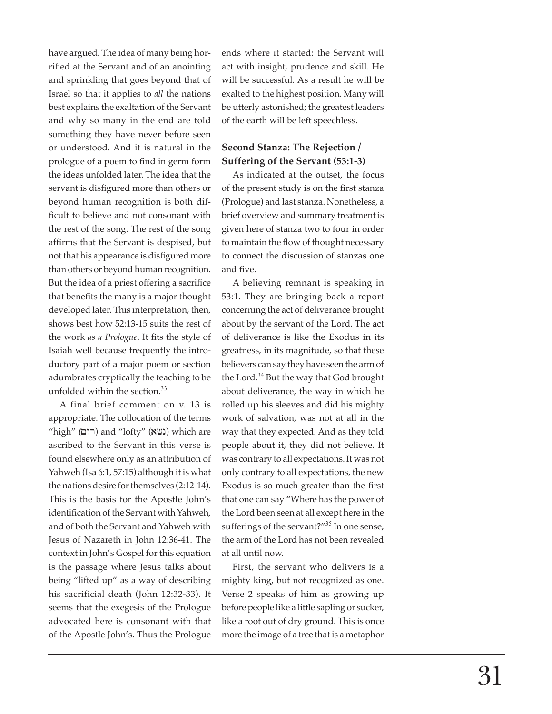have argued. The idea of many being horrified at the Servant and of an anointing and sprinkling that goes beyond that of Israel so that it applies to *all* the nations best explains the exaltation of the Servant and why so many in the end are told something they have never before seen or understood. And it is natural in the prologue of a poem to find in germ form the ideas unfolded later. The idea that the servant is disfigured more than others or beyond human recognition is both difficult to believe and not consonant with the rest of the song. The rest of the song affirms that the Servant is despised, but not that his appearance is disfigured more than others or beyond human recognition. But the idea of a priest offering a sacrifice that benefits the many is a major thought developed later. This interpretation, then, shows best how 52:13-15 suits the rest of the work *as a Prologue*. It fits the style of Isaiah well because frequently the introductory part of a major poem or section adumbrates cryptically the teaching to be unfolded within the section.<sup>33</sup>

A final brief comment on v. 13 is appropriate. The collocation of the terms "high" (**רום)** and "lofty" **(ג**שׂא) which are ascribed to the Servant in this verse is found elsewhere only as an attribution of Yahweh (Isa 6:1, 57:15) although it is what the nations desire for themselves (2:12-14). This is the basis for the Apostle John's identification of the Servant with Yahweh, and of both the Servant and Yahweh with Jesus of Nazareth in John 12:36-41. The context in John's Gospel for this equation is the passage where Jesus talks about being "lifted up" as a way of describing his sacrificial death (John 12:32-33). It seems that the exegesis of the Prologue advocated here is consonant with that of the Apostle John's. Thus the Prologue

ends where it started: the Servant will act with insight, prudence and skill. He will be successful. As a result he will be exalted to the highest position. Many will be utterly astonished; the greatest leaders of the earth will be left speechless.

# **Second Stanza: The Rejection / Suffering of the Servant (53:1-3)**

As indicated at the outset, the focus of the present study is on the first stanza (Prologue) and last stanza. Nonetheless, a brief overview and summary treatment is given here of stanza two to four in order to maintain the flow of thought necessary to connect the discussion of stanzas one and five.

A believing remnant is speaking in 53:1. They are bringing back a report concerning the act of deliverance brought about by the servant of the Lord. The act of deliverance is like the Exodus in its greatness, in its magnitude, so that these believers can say they have seen the arm of the Lord.<sup>34</sup> But the way that God brought about deliverance, the way in which he rolled up his sleeves and did his mighty work of salvation, was not at all in the way that they expected. And as they told people about it, they did not believe. It was contrary to all expectations. It was not only contrary to all expectations, the new Exodus is so much greater than the first that one can say "Where has the power of the Lord been seen at all except here in the sufferings of the servant?"<sup>35</sup> In one sense, the arm of the Lord has not been revealed at all until now.

First, the servant who delivers is a mighty king, but not recognized as one. Verse 2 speaks of him as growing up before people like a little sapling or sucker, like a root out of dry ground. This is once more the image of a tree that is a metaphor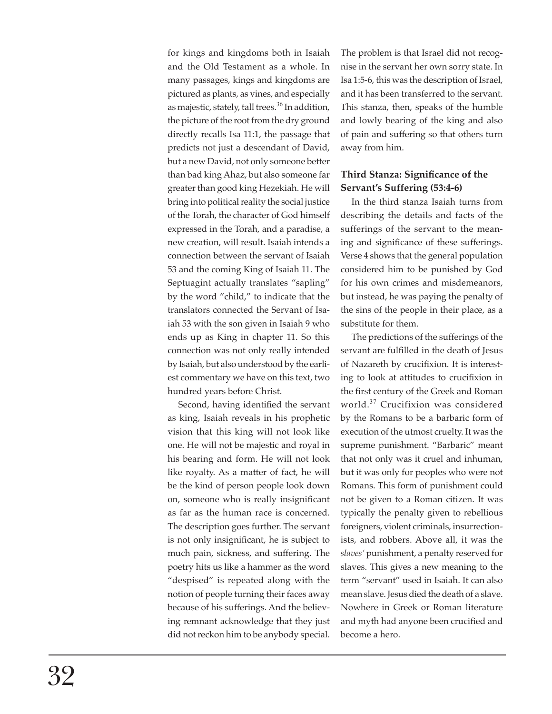for kings and kingdoms both in Isaiah and the Old Testament as a whole. In many passages, kings and kingdoms are pictured as plants, as vines, and especially as majestic, stately, tall trees.<sup>36</sup> In addition, the picture of the root from the dry ground directly recalls Isa 11:1, the passage that predicts not just a descendant of David, but a new David, not only someone better than bad king Ahaz, but also someone far greater than good king Hezekiah. He will bring into political reality the social justice of the Torah, the character of God himself expressed in the Torah, and a paradise, a new creation, will result. Isaiah intends a connection between the servant of Isaiah 53 and the coming King of Isaiah 11. The Septuagint actually translates "sapling" by the word "child," to indicate that the translators connected the Servant of Isaiah 53 with the son given in Isaiah 9 who ends up as King in chapter 11. So this connection was not only really intended by Isaiah, but also understood by the earliest commentary we have on this text, two hundred years before Christ.

Second, having identified the servant as king, Isaiah reveals in his prophetic vision that this king will not look like one. He will not be majestic and royal in his bearing and form. He will not look like royalty. As a matter of fact, he will be the kind of person people look down on, someone who is really insignificant as far as the human race is concerned. The description goes further. The servant is not only insignificant, he is subject to much pain, sickness, and suffering. The poetry hits us like a hammer as the word "despised" is repeated along with the notion of people turning their faces away because of his sufferings. And the believing remnant acknowledge that they just did not reckon him to be anybody special.

The problem is that Israel did not recognise in the servant her own sorry state. In Isa 1:5-6, this was the description of Israel, and it has been transferred to the servant. This stanza, then, speaks of the humble and lowly bearing of the king and also of pain and suffering so that others turn away from him.

#### **Third Stanza: Significance of the Servant's Suffering (53:4-6)**

In the third stanza Isaiah turns from describing the details and facts of the sufferings of the servant to the meaning and significance of these sufferings. Verse 4 shows that the general population considered him to be punished by God for his own crimes and misdemeanors, but instead, he was paying the penalty of the sins of the people in their place, as a substitute for them.

The predictions of the sufferings of the servant are fulfilled in the death of Jesus of Nazareth by crucifixion. It is interesting to look at attitudes to crucifixion in the first century of the Greek and Roman world.<sup>37</sup> Crucifixion was considered by the Romans to be a barbaric form of execution of the utmost cruelty. It was the supreme punishment. "Barbaric" meant that not only was it cruel and inhuman, but it was only for peoples who were not Romans. This form of punishment could not be given to a Roman citizen. It was typically the penalty given to rebellious foreigners, violent criminals, insurrectionists, and robbers. Above all, it was the *slaves'* punishment, a penalty reserved for slaves. This gives a new meaning to the term "servant" used in Isaiah. It can also mean slave. Jesus died the death of a slave. Nowhere in Greek or Roman literature and myth had anyone been crucified and become a hero.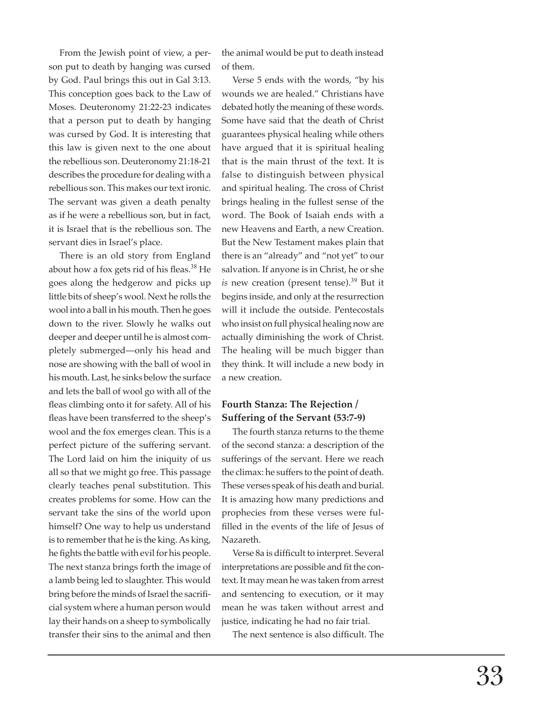From the Jewish point of view, a person put to death by hanging was cursed by God. Paul brings this out in Gal 3:13. This conception goes back to the Law of Moses. Deuteronomy 21:22-23 indicates that a person put to death by hanging was cursed by God. It is interesting that this law is given next to the one about the rebellious son. Deuteronomy 21:18-21 describes the procedure for dealing with a rebellious son. This makes our text ironic. The servant was given a death penalty as if he were a rebellious son, but in fact, it is Israel that is the rebellious son. The servant dies in Israel's place.

There is an old story from England about how a fox gets rid of his fleas.<sup>38</sup> He goes along the hedgerow and picks up little bits of sheep's wool. Next he rolls the wool into a ball in his mouth. Then he goes down to the river. Slowly he walks out deeper and deeper until he is almost completely submerged—only his head and nose are showing with the ball of wool in his mouth. Last, he sinks below the surface and lets the ball of wool go with all of the fleas climbing onto it for safety. All of his fleas have been transferred to the sheep's wool and the fox emerges clean. This is a perfect picture of the suffering servant. The Lord laid on him the iniquity of us all so that we might go free. This passage clearly teaches penal substitution. This creates problems for some. How can the servant take the sins of the world upon himself? One way to help us understand is to remember that he is the king. As king, he fights the battle with evil for his people. The next stanza brings forth the image of a lamb being led to slaughter. This would bring before the minds of Israel the sacrifi cial system where a human person would lay their hands on a sheep to symbolically transfer their sins to the animal and then

the animal would be put to death instead of them.

Verse 5 ends with the words, "by his wounds we are healed." Christians have debated hotly the meaning of these words. Some have said that the death of Christ guarantees physical healing while others have argued that it is spiritual healing that is the main thrust of the text. It is false to distinguish between physical and spiritual healing. The cross of Christ brings healing in the fullest sense of the word. The Book of Isaiah ends with a new Heavens and Earth, a new Creation. But the New Testament makes plain that there is an "already" and "not yet" to our salvation. If anyone is in Christ, he or she *is* new creation (present tense).<sup>39</sup> But it begins inside, and only at the resurrection will it include the outside. Pentecostals who insist on full physical healing now are actually diminishing the work of Christ. The healing will be much bigger than they think. It will include a new body in a new creation.

## **Fourth Stanza: The Rejection / Suffering of the Servant (53:7-9)**

The fourth stanza returns to the theme of the second stanza: a description of the sufferings of the servant. Here we reach the climax: he suffers to the point of death. These verses speak of his death and burial. It is amazing how many predictions and prophecies from these verses were fulfilled in the events of the life of Jesus of Nazareth.

Verse 8a is difficult to interpret. Several interpretations are possible and fit the context. It may mean he was taken from arrest and sentencing to execution, or it may mean he was taken without arrest and justice, indicating he had no fair trial.

The next sentence is also difficult. The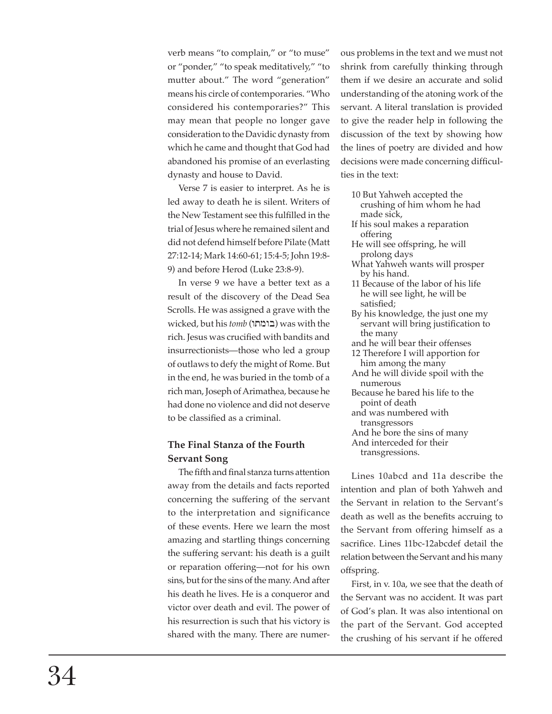verb means "to complain," or "to muse" or "ponder," "to speak meditatively," "to mutter about." The word "generation" means his circle of contemporaries. "Who considered his contemporaries?" This may mean that people no longer gave consideration to the Davidic dynasty from which he came and thought that God had abandoned his promise of an everlasting dynasty and house to David.

Verse 7 is easier to interpret. As he is led away to death he is silent. Writers of the New Testament see this fulfilled in the trial of Jesus where he remained silent and did not defend himself before Pilate (Matt 27:12-14; Mark 14:60-61; 15:4-5; John 19:8- 9) and before Herod (Luke 23:8-9).

In verse 9 we have a better text as a result of the discovery of the Dead Sea Scrolls. He was assigned a grave with the wicked, but his *tomb* (wtmwb) was with the rich. Jesus was crucified with bandits and insurrectionists—those who led a group of outlaws to defy the might of Rome. But in the end, he was buried in the tomb of a rich man, Joseph of Arimathea, because he had done no violence and did not deserve to be classified as a criminal.

## **The Final Stanza of the Fourth Servant Song**

The fifth and final stanza turns attention away from the details and facts reported concerning the suffering of the servant to the interpretation and significance of these events. Here we learn the most amazing and startling things concerning the suffering servant: his death is a guilt or reparation offering—not for his own sins, but for the sins of the many. And after his death he lives. He is a conqueror and victor over death and evil. The power of his resurrection is such that his victory is shared with the many. There are numerous problems in the text and we must not shrink from carefully thinking through them if we desire an accurate and solid understanding of the atoning work of the servant. A literal translation is provided to give the reader help in following the discussion of the text by showing how the lines of poetry are divided and how decisions were made concerning difficulties in the text:

- 10 But Yahweh accepted the crushing of him whom he had made sick,
- If his soul makes a reparation offering
- He will see offspring, he will prolong days
- What Yahweh wants will prosper by his hand.
- 11 Because of the labor of his life he will see light, he will be satisfied;
- By his knowledge, the just one my servant will bring justification to the many
- and he will bear their offenses
- 12 Therefore I will apportion for him among the many
- And he will divide spoil with the numerous
- Because he bared his life to the point of death
- and was numbered with transgressors
- And he bore the sins of many
- And interceded for their

transgressions.

Lines 10abcd and 11a describe the intention and plan of both Yahweh and the Servant in relation to the Servant's death as well as the benefits accruing to the Servant from offering himself as a sacri fi ce. Lines 11bc-12abcdef detail the relation between the Servant and his many offspring.

First, in v. 10a, we see that the death of the Servant was no accident. It was part of God's plan. It was also intentional on the part of the Servant. God accepted the crushing of his servant if he offered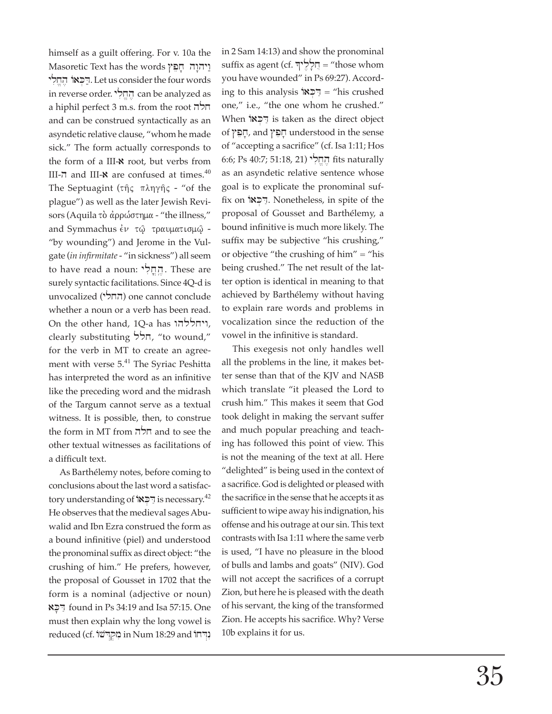himself as a guilt offering. For v. 10a the  $M$ ויהוה  $\pi$ ים  $\gamma$ יִהְלִי הַחֲלִי. Let us consider the four words in reverse order. החֵלִי can be analyzed as a hiphil perfect 3 m.s. from the root חלה and can be construed syntactically as an asyn detic relative clause, "whom he made sick." The form actually corresponds to the form of a III- $\boldsymbol{\kappa}$  root, but verbs from III- $\pi$  and III- $\alpha$  are confused at times.<sup>40</sup> The Septuagint ( $\tau \hat{\eta}$  $\varsigma$   $\pi \lambda \eta \gamma \hat{\eta}$  $\varsigma$  - "of the plague") as well as the later Jewish Revisors (Aquila τὸ ἀρρώστημα - "the illness," and Symmachus έν τω τραυματισμώ -"by wounding") and Jerome in the Vulgate (*in infirmitate* - "in sickness") all seem to have read a noun: הֵחֲלִי, These are surely syntactic facilitations. Since 4Q-d is unvocalized (ylxh) one cannot conclude whether a noun or a verb has been read. On the other hand, 1Q-a has ויחללהו, clearly substituting הלל, "to wound," for the verb in MT to create an agreement with verse 5.<sup>41</sup> The Syriac Peshitta has interpreted the word as an infinitive like the preceding word and the midrash of the Targum cannot serve as a textual witness. It is possible, then, to construe the form in MT from חלה other textual witnesses as facilitations of a difficult text.

As Barthélemy notes, before coming to conclusions about the last word a satisfactory understanding of  $\mathbb{R}$  $\in \mathbb{R}$ . is necessary.<sup>42</sup> He observes that the medieval sages Abuwalid and Ibn Ezra construed the form as a bound infinitive (piel) and understood the pronominal suffix as direct object: "the crushing of him." He prefers, however, the proposal of Gousset in 1702 that the form is a nominal (adjective or noun) aK'D; found in Ps 34:19 and Isa 57:15. One must then explain why the long vowel is reduced (cf. נִּהְרֹשׁוֹ in Num 18:29 and נִדְחוֹ in 2 Sam 14:13) and show the pronominal suffix as agent (cf. יְדלליך = "those whom you have wounded" in Ps 69:27). According to this analysis  $\vec{P} =$  "his crushed" one," i.e., "the one whom he crushed." When הַכָּאוֹ is taken as the direct object of #pex', and #pex' understood in the sense of "accepting a sacrifice" (cf. Isa 1:11; Hos 6:6; Ps 40:7; 51:18, 21) ylix/h, fi ts naturally as an asyndetic relative sentence whose goal is to explicate the pronominal suffix on FCN. Nonetheless, in spite of the proposal of Gousset and Barthélemy, a bound infinitive is much more likely. The suffix may be subjective "his crushing," or objective "the crushing of him" = "his being crushed." The net result of the latter option is identical in meaning to that achieved by Barthélemy without having to explain rare words and problems in vocalization since the reduction of the vowel in the infinitive is standard.

This exegesis not only handles well all the problems in the line, it makes better sense than that of the KJV and NASB which translate "it pleased the Lord to crush him." This makes it seem that God took delight in making the servant suffer and much popular preaching and teaching has followed this point of view. This is not the meaning of the text at all. Here "delighted" is being used in the context of a sacrifice. God is delighted or pleased with the sacrifice in the sense that he accepts it as sufficient to wipe away his indignation, his offense and his outrage at our sin. This text contrasts with Isa 1:11 where the same verb is used, "I have no pleasure in the blood of bulls and lambs and goats" (NIV). God will not accept the sacrifices of a corrupt Zion, but here he is pleased with the death of his servant, the king of the transformed Zion. He accepts his sacrifice. Why? Verse 10b explains it for us.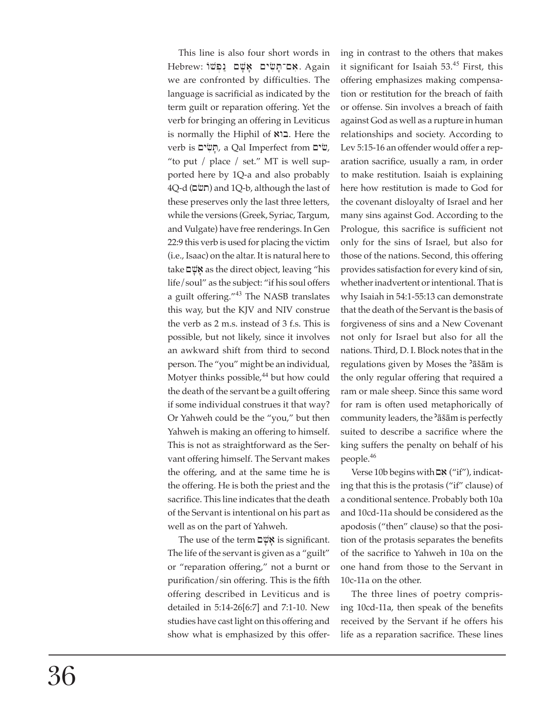This line is also four short words in Hebrew: אָם־תַּשִׂים אַשָּׁם נַפְּשׁוֹ $\blacksquare$  Again we are confronted by difficulties. The language is sacrificial as indicated by the term guilt or reparation offering. Yet the verb for bringing an offering in Leviticus is normally the Hiphil of **EXI**. Here the verb is פֿים, a Qal Imperfect from  $\ddot{w}$ , "to put / place / set." MT is well supported here by 1Q-a and also probably 4Q-d (תשׂם) and 1Q-b, although the last of these preserves only the last three letters, while the versions (Greek, Syriac, Targum, and Vulgate) have free renderings. In Gen 22:9 this verb is used for placing the victim (i.e., Isaac) on the altar. It is natural here to take **¤w** as the direct object, leaving "his life/soul" as the subject: "if his soul offers a guilt offering."<sup>43</sup> The NASB translates this way, but the KJV and NIV construe the verb as 2 m.s. instead of 3 f.s. This is possible, but not likely, since it involves an awkward shift from third to second person. The "you" might be an individual, Motyer thinks possible, $44$  but how could the death of the servant be a guilt offering if some individual construes it that way? Or Yahweh could be the "you," but then Yahweh is making an offering to himself. This is not as straightforward as the Servant offering himself. The Servant makes the offering, and at the same time he is the offering. He is both the priest and the sacrifice. This line indicates that the death of the Servant is intentional on his part as well as on the part of Yahweh.

The use of the term  $\frac{vw}{n}$  is significant. The life of the servant is given as a "guilt" or "reparation offering," not a burnt or purification/sin offering. This is the fifth offering described in Leviticus and is detailed in 5:14-26[6:7] and 7:1-10. New studies have cast light on this offering and show what is emphasized by this offering in contrast to the others that makes it significant for Isaiah  $53<sup>45</sup>$  First, this offering emphasizes making compensation or restitution for the breach of faith or offense. Sin involves a breach of faith against God as well as a rupture in human relationships and society. According to Lev 5:15-16 an offender would offer a reparation sacrifice, usually a ram, in order to make restitution. Isaiah is explaining here how restitution is made to God for the covenant disloyalty of Israel and her many sins against God. According to the Prologue, this sacrifice is sufficient not only for the sins of Israel, but also for those of the nations. Second, this offering provides satisfaction for every kind of sin, whether inadvertent or intentional. That is why Isaiah in 54:1-55:13 can demonstrate that the death of the Servant is the basis of forgiveness of sins and a New Covenant not only for Israel but also for all the nations. Third, D. I. Block notes that in the regulations given by Moses the 'äšäm is the only regular offering that required a ram or male sheep. Since this same word for ram is often used metaphorically of community leaders, the 'äšäm is perfectly suited to describe a sacrifice where the king suffers the penalty on behalf of his people.<sup>46</sup>

 $V$ erse 10b begins with  $\mathbb{Z}$  ("if"), indicating that this is the protasis ("if" clause) of a conditional sentence. Probably both 10a and 10cd-11a should be considered as the apodosis ("then" clause) so that the position of the protasis separates the benefits of the sacrifice to Yahweh in 10a on the one hand from those to the Servant in 10c-11a on the other.

The three lines of poetry comprising 10cd-11a, then speak of the benefits re ceived by the Servant if he offers his life as a reparation sacrifice. These lines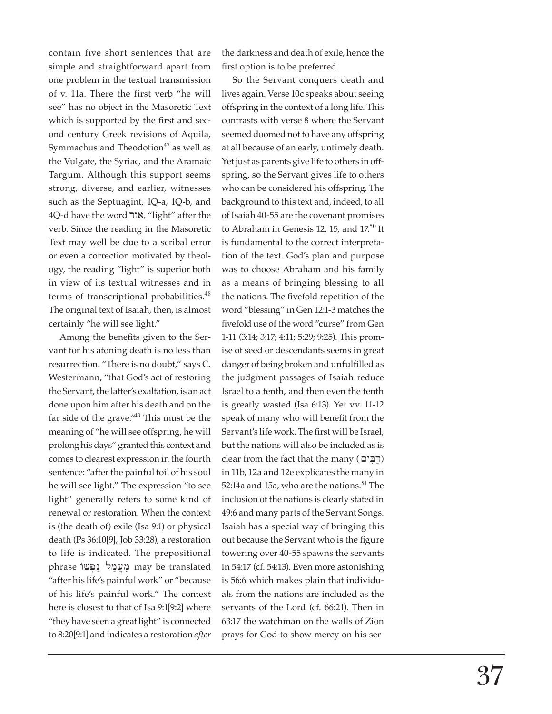contain five short sentences that are simple and straightforward apart from one problem in the textual transmission of v. 11a. There the first verb "he will see" has no object in the Masoretic Text which is supported by the first and second century Greek revisions of Aquila, Symmachus and Theodotion $47$  as well as the Vulgate, the Syriac, and the Aramaic Targum. Although this support seems strong, diverse, and earlier, witnesses such as the Septuagint, 1Q-a, 1Q-b, and 4Q-d have the word "אור, "light" after the verb. Since the reading in the Masoretic Text may well be due to a scribal error or even a correction motivated by theology, the reading "light" is superior both in view of its textual witnesses and in terms of transcriptional probabilities.<sup>48</sup> The original text of Isaiah, then, is almost certainly "he will see light."

Among the benefits given to the Servant for his atoning death is no less than resurrection. "There is no doubt," says C. Westermann, "that God's act of restoring the Servant, the latter's exaltation, is an act done upon him after his death and on the far side of the grave." $49$  This must be the meaning of "he will see offspring, he will prolong his days" granted this context and comes to clearest expression in the fourth sentence: "after the painful toil of his soul he will see light." The expression "to see light" generally refers to some kind of renewal or restoration. When the context is (the death of) exile (Isa 9:1) or physical death (Ps 36:10[9], Job 33:28), a restoration to life is indicated. The prepositional phrase נֵעֲמַל נַפְשׁוֹ may be translated "after his life's painful work" or "because of his life's painful work." The context here is closest to that of Isa 9:1[9:2] where "they have seen a great light" is connected to 8:20[9:1] and indicates a restoration *after*

the darkness and death of exile, hence the first option is to be preferred.

So the Servant conquers death and lives again. Verse 10c speaks about seeing offspring in the context of a long life. This contrasts with verse 8 where the Servant seemed doomed not to have any offspring at all because of an early, untimely death. Yet just as parents give life to others in offspring, so the Servant gives life to others who can be considered his offspring. The background to this text and, indeed, to all of Isaiah 40-55 are the covenant promises to Abraham in Genesis 12, 15, and  $17<sup>50</sup>$  It is fundamental to the correct interpretation of the text. God's plan and purpose was to choose Abraham and his family as a means of bringing blessing to all the nations. The fivefold repetition of the word "blessing" in Gen 12:1-3 matches the fivefold use of the word "curse" from Gen 1-11 (3:14; 3:17; 4:11; 5:29; 9:25). This promise of seed or descendants seems in great danger of being broken and unfulfilled as the judgment passages of Isaiah reduce Israel to a tenth, and then even the tenth is greatly wasted (Isa 6:13). Yet vv. 11-12 speak of many who will benefit from the Servant's life work. The first will be Israel, but the nations will also be included as is  $clear from the fact that the many (רַבִ'ּ֡$ in 11b, 12a and 12e explicates the many in 52:14a and 15a, who are the nations.<sup>51</sup> The inclusion of the nations is clearly stated in 49:6 and many parts of the Servant Songs. Isaiah has a special way of bringing this out because the Servant who is the figure towering over 40-55 spawns the servants in 54:17 (cf. 54:13). Even more astonishing is 56:6 which makes plain that individuals from the nations are included as the servants of the Lord (cf. 66:21). Then in 63:17 the watchman on the walls of Zion prays for God to show mercy on his ser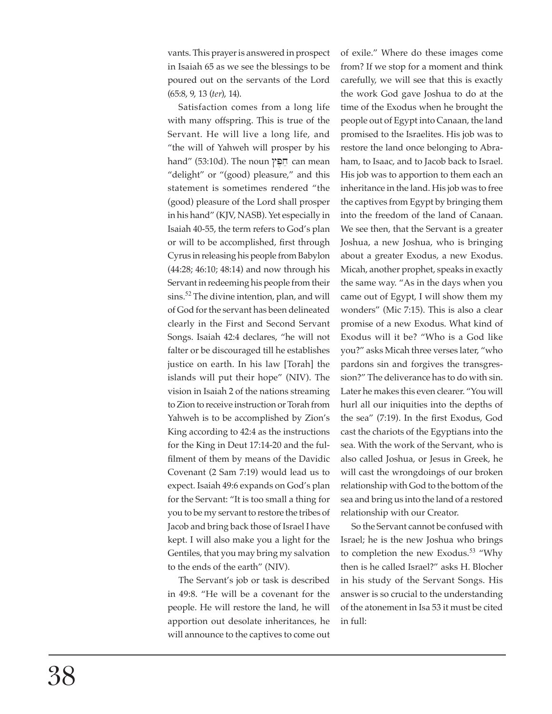vants. This prayer is answered in prospect in Isaiah 65 as we see the blessings to be poured out on the servants of the Lord (65:8, 9, 13 (*ter*), 14).

Satisfaction comes from a long life with many offspring. This is true of the Servant. He will live a long life, and "the will of Yahweh will prosper by his hand" (53:10d). The noun חֻפֵּץ can mean "delight" or "(good) pleasure," and this statement is sometimes rendered "the (good) pleasure of the Lord shall prosper in his hand" (KJV, NASB). Yet especially in Isaiah 40-55, the term refers to God's plan or will to be accomplished, first through Cyrus in releasing his people from Babylon (44:28; 46:10; 48:14) and now through his Servant in redeeming his people from their sins.<sup>52</sup> The divine intention, plan, and will of God for the servant has been delineated clearly in the First and Second Servant Songs. Isaiah 42:4 declares, "he will not falter or be discouraged till he establishes justice on earth. In his law [Torah] the islands will put their hope" (NIV). The vision in Isaiah 2 of the nations streaming to Zion to receive instruction or Torah from Yahweh is to be accomplished by Zion's King according to 42:4 as the instructions for the King in Deut 17:14-20 and the fulfilment of them by means of the Davidic Covenant (2 Sam 7:19) would lead us to expect. Isaiah 49:6 expands on God's plan for the Servant: "It is too small a thing for you to be my servant to restore the tribes of Jacob and bring back those of Israel I have kept. I will also make you a light for the Gentiles, that you may bring my salvation to the ends of the earth" (NIV).

The Servant's job or task is described in 49:8. "He will be a covenant for the people. He will restore the land, he will apportion out desolate inheritances, he will announce to the captives to come out of exile." Where do these images come from? If we stop for a moment and think carefully, we will see that this is exactly the work God gave Joshua to do at the time of the Exodus when he brought the people out of Egypt into Canaan, the land promised to the Israelites. His job was to restore the land once belonging to Abraham, to Isaac, and to Jacob back to Israel. His job was to apportion to them each an inheritance in the land. His job was to free the captives from Egypt by bringing them into the freedom of the land of Canaan. We see then, that the Servant is a greater Joshua, a new Joshua, who is bringing about a greater Exodus, a new Exodus. Micah, another prophet, speaks in exactly the same way. "As in the days when you came out of Egypt, I will show them my wonders" (Mic 7:15). This is also a clear promise of a new Exodus. What kind of Exodus will it be? "Who is a God like you?" asks Micah three verses later, "who pardons sin and forgives the transgression?" The deliverance has to do with sin. Later he makes this even clearer. "You will hurl all our iniquities into the depths of the sea" (7:19). In the first Exodus, God cast the chariots of the Egyptians into the sea. With the work of the Servant, who is also called Joshua, or Jesus in Greek, he will cast the wrongdoings of our broken relationship with God to the bottom of the sea and bring us into the land of a restored relationship with our Creator.

So the Servant cannot be confused with Israel; he is the new Joshua who brings to completion the new Exodus.<sup>53</sup> "Why then is he called Israel?" asks H. Blocher in his study of the Servant Songs. His answer is so crucial to the understanding of the atonement in Isa 53 it must be cited in full: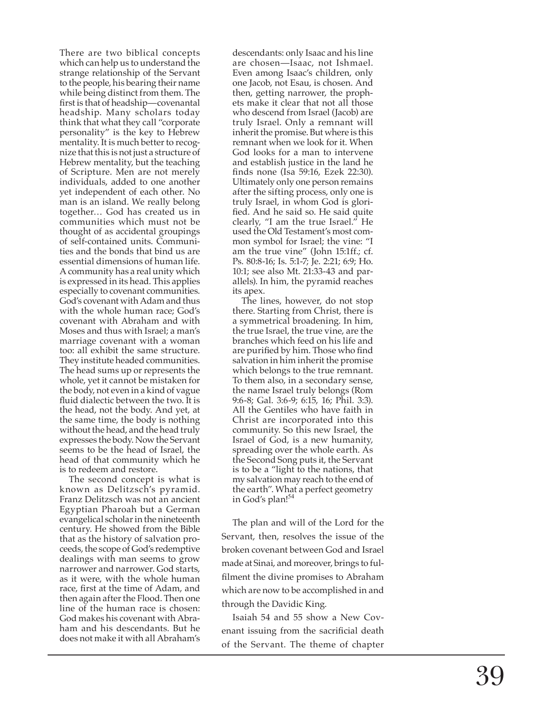There are two biblical concepts which can help us to understand the strange relationship of the Servant to the people, his bearing their name while being distinct from them. The first is that of headship—covenantal headship. Many scholars today think that what they call "corporate personality" is the key to Hebrew mentality. It is much better to recognize that this is not just a structure of Hebrew mentality, but the teaching of Scripture. Men are not merely individuals, added to one another yet independent of each other. No man is an island. We really belong together… God has created us in communities which must not be thought of as accidental groupings of self-contained units. Communities and the bonds that bind us are essential dimensions of human life. A community has a real unity which is expressed in its head. This applies especially to covenant communities. God's covenant with Adam and thus with the whole human race; God's covenant with Abraham and with Moses and thus with Israel; a man's marriage covenant with a woman too: all exhibit the same structure. They institute headed communities. The head sums up or represents the whole, yet it cannot be mistaken for the body, not even in a kind of vague<br>fluid dialectic between the two. It is the head, not the body. And yet, at the same time, the body is nothing without the head, and the head truly expresses the body. Now the Servant seems to be the head of Israel, the head of that community which he is to redeem and restore.

 The second concept is what is known as Delitzsch's pyramid. Franz Delitzsch was not an ancient Egyptian Pharoah but a German evangelical scholar in the nineteenth century. He showed from the Bible that as the history of salvation proceeds, the scope of God's redemptive dealings with man seems to grow narrower and narrower. God starts, as it were, with the whole human race, fi rst at the time of Adam, and then again after the Flood. Then one line of the human race is chosen: God makes his covenant with Abraham and his descendants. But he does not make it with all Abraham's

descendants: only Isaac and his line are chosen—Isaac, not Ishmael. Even among Isaac's children, only one Jacob, not Esau, is chosen. And then, getting narrower, the prophets make it clear that not all those who descend from Israel (Jacob) are truly Israel. Only a remnant will inherit the promise. But where is this remnant when we look for it. When God looks for a man to intervene and establish justice in the land he finds none (Isa 59:16, Ezek 22:30). Ultimately only one person remains after the sifting process, only one is truly Israel, in whom God is glori fied. And he said so. He said quite clearly, "I am the true Israel." He used the Old Testament's most common symbol for Israel; the vine: "I am the true vine" (John 15:1ff.; cf. Ps. 80:8-16; Is. 5:1-7; Je. 2:21; 6:9; Ho. 10:1; see also Mt. 21:33-43 and parallels). In him, the pyramid reaches its apex.

 The lines, however, do not stop there. Starting from Christ, there is a symmetrical broadening. In him, the true Israel, the true vine, are the branches which feed on his life and are purified by him. Those who find salvation in him inherit the promise which belongs to the true remnant. To them also, in a secondary sense, the name Israel truly belongs (Rom 9:6-8; Gal. 3:6-9; 6:15, 16; Phil. 3:3). All the Gentiles who have faith in Christ are incorporated into this community. So this new Israel, the Israel of God, is a new humanity, spreading over the whole earth. As the Second Song puts it, the Servant is to be a "light to the nations, that my salvation may reach to the end of the earth". What a perfect geometry in God's plan!<sup>54</sup>

The plan and will of the Lord for the Servant, then, resolves the issue of the broken covenant between God and Israel made at Sinai, and moreover, brings to ful filment the divine promises to Abraham which are now to be accomplished in and through the Davidic King.

Isaiah 54 and 55 show a New Covenant issuing from the sacrificial death of the Servant. The theme of chapter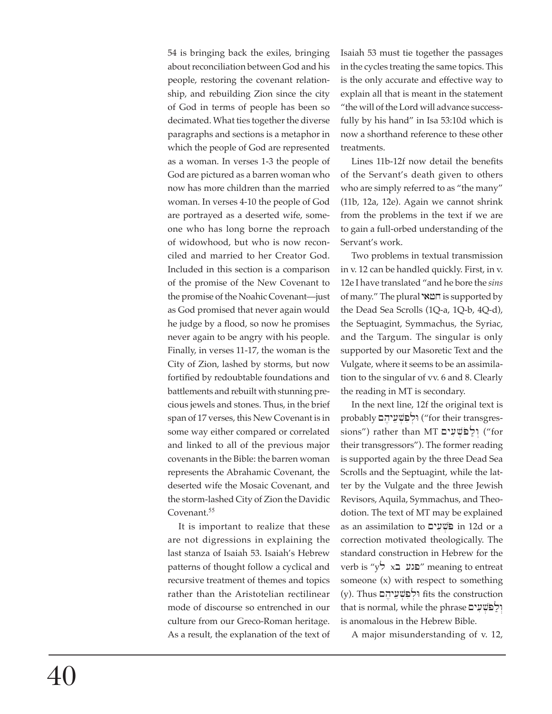54 is bringing back the exiles, bringing about reconciliation between God and his people, restoring the covenant relationship, and rebuilding Zion since the city of God in terms of people has been so decimated. What ties together the diverse paragraphs and sections is a metaphor in which the people of God are represented as a woman. In verses 1-3 the people of God are pictured as a barren woman who now has more children than the married woman. In verses 4-10 the people of God are portrayed as a deserted wife, someone who has long borne the reproach of widowhood, but who is now reconciled and married to her Creator God. Included in this section is a comparison of the promise of the New Covenant to the promise of the Noahic Covenant—just as God promised that never again would he judge by a flood, so now he promises never again to be angry with his people. Finally, in verses 11-17, the woman is the City of Zion, lashed by storms, but now fortified by redoubtable foundations and battlements and rebuilt with stunning precious jewels and stones. Thus, in the brief span of 17 verses, this New Covenant is in some way either compared or correlated and linked to all of the previous major covenants in the Bible: the barren woman represents the Abrahamic Covenant, the deserted wife the Mosaic Covenant, and the storm-lashed City of Zion the Davidic Covenant.<sup>55</sup>

It is important to realize that these are not digressions in explaining the last stanza of Isaiah 53. Isaiah's Hebrew patterns of thought follow a cyclical and recursive treatment of themes and topics rather than the Aristotelian rectilinear mode of discourse so entrenched in our culture from our Greco-Roman heritage. As a result, the explanation of the text of Isaiah 53 must tie together the passages in the cycles treating the same topics. This is the only accurate and effective way to explain all that is meant in the statement "the will of the Lord will advance successfully by his hand" in Isa 53:10d which is now a shorthand reference to these other treatments.

Lines 11b-12f now detail the benefits of the Servant's death given to others who are simply referred to as "the many" (11b, 12a, 12e). Again we cannot shrink from the problems in the text if we are to gain a full-orbed understanding of the Servant's work.

Two problems in textual transmission in v. 12 can be handled quickly. First, in v. 12e I have translated "and he bore the *sins* of many." The plural המאי is supported by the Dead Sea Scrolls (1Q-a, 1Q-b, 4Q-d), the Septuagint, Symmachus, the Syriac, and the Targum. The singular is only supported by our Masoretic Text and the Vulgate, where it seems to be an assimilation to the singular of vv. 6 and 8. Clearly the reading in MT is secondary.

In the next line, 12f the original text is probably ולפְשִׁעֵיהָם ("for their transgressions") rather than MT יַלֲפֹּשֶׁעָים ("for their transgressors"). The former reading is supported again by the three Dead Sea Scrolls and the Septuagint, while the latter by the Vulgate and the three Jewish Revisors, Aquila, Symmachus, and Theodotion. The text of MT may be explained as an assimilation to  $\Box$ פֿשׁע correction motivated theologically. The standard construction in Hebrew for the verb is "פגע בא ל $\gamma$ " meaning to entreat someone (x) with respect to something (y). Thus יִלְפְשָׁעֵיהָם fits the construction that is normal, while the phrase יִלְפֹּשֶׁעָים is anomalous in the Hebrew Bible.

A major misunderstanding of v. 12,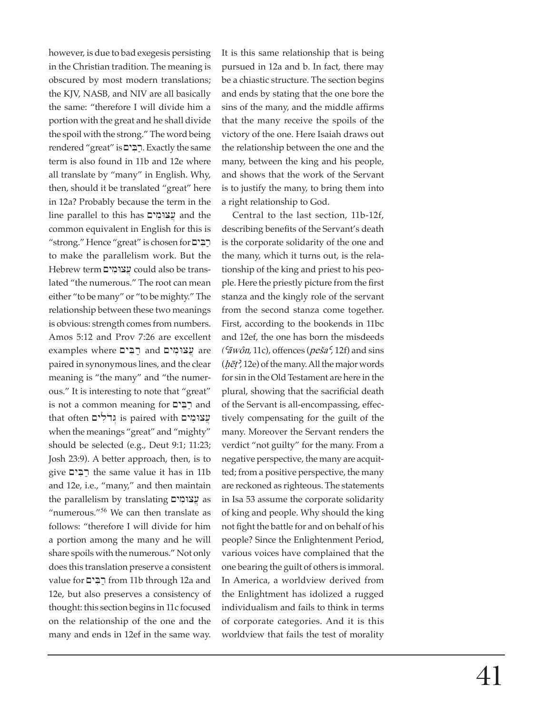however, is due to bad exegesis persisting in the Christian tradition. The meaning is obscured by most modern translations; the KJV, NASB, and NIV are all basically the same: "therefore I will divide him a portion with the great and he shall divide the spoil with the strong." The word being rendered "great" is .רַבִּים. Exactly the same term is also found in 11b and 12e where all translate by "many" in English. Why, then, should it be translated "great" here in 12a? Probably because the term in the  $\lim$ יצומים and the with whis has w common equivalent in English for this is "strong." Hence "great" is chosen for to make the parallelism work. But the Hebrew term עֲצוּמִים could also be translated "the numerous." The root can mean either "to be many" or "to be mighty." The relationship between these two meanings is obvious: strength comes from numbers. Amos 5:12 and Prov 7:26 are excellent examples where הַבִּים and we paired in synonymous lines, and the clear meaning is "the many" and "the numerous." It is interesting to note that "great" is not a common meaning for  $\Xi$  $\Xi$  and  $t$ that often יְבוּלִים is paired with  $y$ עצוּמִים when the meanings "great" and "mighty" should be selected (e.g., Deut 9:1; 11:23; Josh 23:9). A better approach, then, is to give רַבִּים the same value it has in 11b and 12e, i.e., "many," and then maintain the parallelism by translating עֲצוּמִים "numerous."<sup>56</sup> We can then translate as follows: "therefore I will divide for him a portion among the many and he will share spoils with the numerous." Not only does this translation preserve a consistent value for רַבִּים from 11b through 12a and 12e, but also preserves a consistency of thought: this section begins in 11c focused on the relationship of the one and the many and ends in 12ef in the same way.

It is this same relationship that is being pursued in 12a and b. In fact, there may be a chiastic structure. The section begins and ends by stating that the one bore the sins of the many, and the middle affirms that the many receive the spoils of the victory of the one. Here Isaiah draws out the relationship between the one and the many, between the king and his people, and shows that the work of the Servant is to justify the many, to bring them into a right relationship to God.

Central to the last section, 11b-12f, describing benefits of the Servant's death is the corporate solidarity of the one and the many, which it turns out, is the relation ship of the king and priest to his people. Here the priestly picture from the first stanza and the kingly role of the servant from the second stanza come together. First, according to the bookends in 11bc and 12ef, the one has born the misdeeds  $\left( \frac{\epsilon_{\bar{a}}}{\bar{a}} \right)$  and sins ( $\epsilon_{\bar{a}}$ ) and sins  $(h\bar{e}t^2, 12e)$  of the many. All the major words for sin in the Old Testament are here in the plural, showing that the sacrificial death of the Servant is all-encompassing, effectively compensating for the guilt of the many. Moreover the Servant renders the verdict "not guilty" for the many. From a negative perspective, the many are acquitted; from a positive perspective, the many are reckoned as righteous. The statements in Isa 53 assume the corporate solidarity of king and people. Why should the king not fight the battle for and on behalf of his people? Since the Enlightenment Period, various voices have complained that the one bearing the guilt of others is immoral. In America, a worldview derived from the Enlightment has idolized a rugged individualism and fails to think in terms of corporate categories. And it is this worldview that fails the test of morality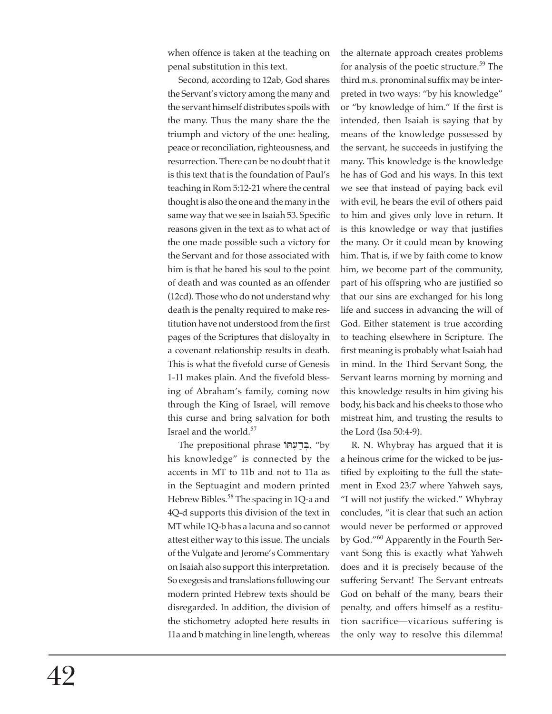when offence is taken at the teaching on penal substitution in this text.

Second, according to 12ab, God shares the Servant's victory among the many and the servant himself distributes spoils with the many. Thus the many share the the triumph and victory of the one: healing, peace or reconciliation, righteousness, and resurrection. There can be no doubt that it is this text that is the foundation of Paul's teaching in Rom 5:12-21 where the central thought is also the one and the many in the same way that we see in Isaiah 53. Specific reasons given in the text as to what act of the one made possible such a victory for the Servant and for those associated with him is that he bared his soul to the point of death and was counted as an offender (12cd). Those who do not understand why death is the penalty required to make restitution have not understood from the first pages of the Scriptures that disloyalty in a covenant relationship results in death. This is what the fivefold curse of Genesis 1-11 makes plain. And the fivefold blessing of Abraham's family, coming now through the King of Israel, will remove this curse and bring salvation for both Israel and the world.<sup>57</sup>

The prepositional phrase בִּדְעָתוֹ, "by his knowledge" is connected by the accents in MT to 11b and not to 11a as in the Septuagint and modern printed Hebrew Bibles.<sup>58</sup> The spacing in 1Q-a and 4Q-d supports this division of the text in MT while 1Q-b has a lacuna and so cannot attest either way to this issue. The uncials of the Vulgate and Jerome's Com mentary on Isaiah also support this interpretation. So exegesis and translations following our modern printed Hebrew texts should be disregarded. In addition, the division of the stichometry adopted here results in 11a and b matching in line length, whereas

the alternate approach creates problems for analysis of the poetic structure.<sup>59</sup> The third m.s. pronominal suffix may be interpreted in two ways: "by his knowledge" or "by knowledge of him." If the first is intended, then Isaiah is saying that by means of the knowledge possessed by the servant, he succeeds in justifying the many. This knowledge is the knowledge he has of God and his ways. In this text we see that instead of paying back evil with evil, he bears the evil of others paid to him and gives only love in return. It is this knowledge or way that justifies the many. Or it could mean by knowing him. That is, if we by faith come to know him, we become part of the community, part of his offspring who are justified so that our sins are exchanged for his long life and success in advancing the will of God. Either statement is true according to teaching elsewhere in Scripture. The first meaning is probably what Isaiah had in mind. In the Third Servant Song, the Servant learns morning by morning and this knowledge results in him giving his body, his back and his cheeks to those who mistreat him, and trusting the results to the Lord (Isa 50:4-9).

R. N. Whybray has argued that it is a heinous crime for the wicked to be justified by exploiting to the full the statement in Exod 23:7 where Yahweh says, "I will not justify the wicked." Whybray concludes, "it is clear that such an action would never be performed or approved by God."<sup>60</sup> Apparently in the Fourth Servant Song this is exactly what Yahweh does and it is precisely because of the suffering Servant! The Servant entreats God on behalf of the many, bears their penalty, and offers him self as a restitution sacrifice—vicarious suffering is the only way to resolve this dilemma!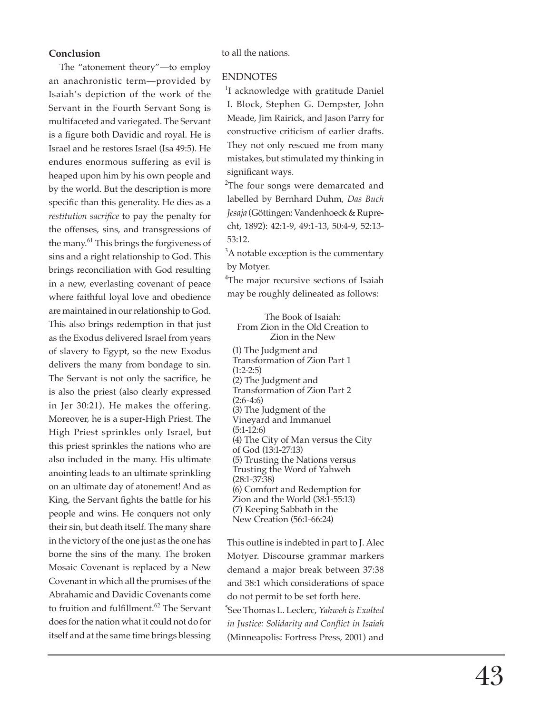#### **Conclusion**

The "atonement theory"—to employ an anachronistic term—provided by Isaiah's depiction of the work of the Servant in the Fourth Servant Song is multifaceted and variegated. The Servant is a figure both Davidic and royal. He is Israel and he restores Israel (Isa 49:5). He endures enormous suffering as evil is heaped upon him by his own people and by the world. But the description is more specific than this generality. He dies as a *restitution sacrifice* to pay the penalty for the offenses, sins, and transgressions of the many.<sup>61</sup> This brings the forgiveness of sins and a right relationship to God. This brings reconciliation with God resulting in a new, everlasting covenant of peace where faithful loyal love and obedience are maintained in our relationship to God. This also brings redemption in that just as the Exodus delivered Israel from years of slavery to Egypt, so the new Exodus delivers the many from bondage to sin. The Servant is not only the sacrifice, he is also the priest (also clearly expressed in Jer 30:21). He makes the offering. Moreover, he is a super-High Priest. The High Priest sprinkles only Israel, but this priest sprinkles the nations who are also included in the many. His ultimate anointing leads to an ultimate sprinkling on an ultimate day of atonement! And as King, the Servant fights the battle for his people and wins. He conquers not only their sin, but death itself. The many share in the victory of the one just as the one has borne the sins of the many. The broken Mosaic Covenant is replaced by a New Covenant in which all the promises of the Abrahamic and Davidic Covenants come to fruition and fulfillment.<sup>62</sup> The Servant does for the nation what it could not do for itself and at the same time brings blessing

to all the nations.

#### ENDNOTES

<sup>1</sup>I acknowledge with gratitude Daniel I. Block, Stephen G. Dempster, John Meade, Jim Rairick, and Jason Parry for constructive criticism of earlier drafts. They not only rescued me from many mistakes, but stimulated my thinking in significant ways.

<sup>2</sup>The four songs were demarcated and labelled by Bernhard Duhm, *Das Buch Jesaja* (Göttingen: Vandenhoeck & Ruprecht, 1892): 42:1-9, 49:1-13, 50:4-9, 52:13- 53:12.

<sup>3</sup>A notable exception is the commentary by Motyer.

<sup>4</sup>The major recursive sections of Isaiah may be roughly delineated as follows:

The Book of Isaiah: From Zion in the Old Creation to Zion in the New

(1) The Judgment and Transformation of Zion Part 1  $(1:2-2:5)$ (2) The Judgment and Transformation of Zion Part 2  $(2:6-4:6)$ (3) The Judgment of the Vineyard and Immanuel (5:1-12:6) (4) The City of Man versus the City of God (13:1-27:13) (5) Trusting the Nations versus Trusting the Word of Yahweh (28:1-37:38) (6) Comfort and Redemption for Zion and the World (38:1-55:13) (7) Keeping Sabbath in the New Creation (56:1-66:24)

 This outline is indebted in part to J. Alec Motyer. Discourse grammar markers demand a major break between 37:38 and 38:1 which considerations of space do not permit to be set forth here.

<sup>5</sup>See Thomas L. Leclerc, *Yahweh is Exalted in Justice: Solidarity and Conflict in Isaiah* (Minneapolis: Fortress Press, 2001) and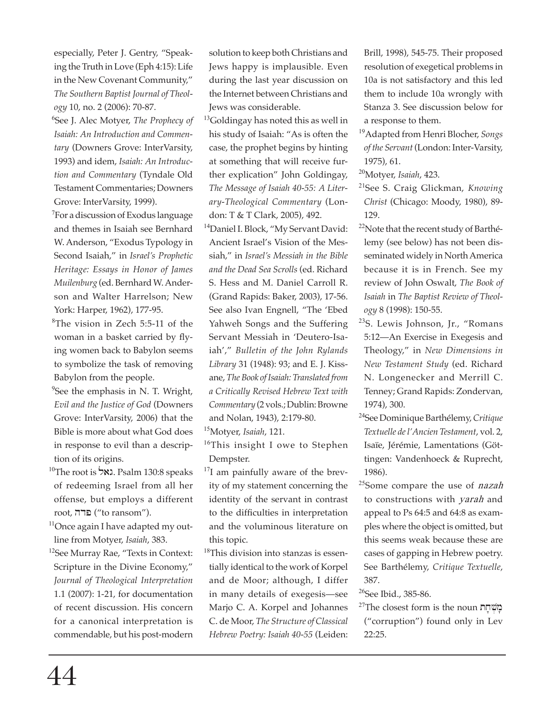especially, Peter J. Gentry, "Speaking the Truth in Love (Eph 4:15): Life in the New Covenant Community," *The Southern Baptist Journal of Theology* 10, no. 2 (2006): 70-87.

<sup>6</sup>See J. Alec Motyer, *The Prophecy of Isaiah: An Introduction and Commentary* (Downers Grove: InterVarsity, 1993) and idem, *Isaiah: An Introduction and Commentary* (Tyndale Old Testament Commentaries; Downers Grove: InterVarsity, 1999).

<sup>7</sup>For a discussion of Exodus language and themes in Isaiah see Bernhard W. Anderson, "Exodus Typology in Second Isaiah," in *Israel's Prophetic Heritage: Essays in Honor of James Muilenburg* (ed. Bernhard W. Anderson and Walter Harrelson; New York: Harper, 1962), 177-95.

<sup>8</sup>The vision in Zech 5:5-11 of the woman in a basket carried by flying women back to Babylon seems to symbolize the task of removing Babylon from the people.

<sup>9</sup>See the emphasis in N. T. Wright, *Evil and the Justice of God* (Downers Grove: InterVarsity, 2006) that the Bible is more about what God does in response to evil than a description of its origins.

- 10The root is **ואל.** Psalm 130:8 speaks of redeeming Israel from all her offense, but employs a different  $root$ , פרה ("to ransom").
- $11$ Once again I have adapted my outline from Motyer, *Isaiah*, 383.
- <sup>12</sup>See Murray Rae, "Texts in Context: Scripture in the Divine Economy," *Journal of Theological Interpretation* 1.1 (2007): 1-21, for documentation of recent discussion. His concern for a canonical interpretation is commendable, but his post-modern

solution to keep both Christians and Jews happy is implausible. Even during the last year discussion on the Internet between Christians and Jews was considerable.

- $<sup>13</sup>$ Goldingay has noted this as well in</sup> his study of Isaiah: "As is often the case, the prophet begins by hinting at something that will receive further explication" John Goldingay, *The Message of Isaiah 40-55: A Literary-Theological Com mentary* (London: T & T Clark, 2005), 492.
- <sup>14</sup>Daniel I. Block, "My Servant David: Ancient Israel's Vision of the Messiah," in *Israel's Messiah in the Bible and the Dead Sea Scrolls* (ed. Richard S. Hess and M. Daniel Carroll R. (Grand Rapids: Baker, 2003), 17-56. See also Ivan Engnell, "The 'Ebed Yahweh Songs and the Suffering Servant Messiah in 'Deutero-Isaiah'," *Bulletin of the John Rylands Library* 31 (1948): 93; and E. J. Kissane, *The Book of Isaiah: Translated from a Critically Revised Hebrew Text with Commentary* (2 vols.; Dublin: Browne and Nolan, 1943), 2:179-80.

<sup>15</sup>Motyer, *Isaiah*, 121.

<sup>16</sup>This insight I owe to Stephen Dempster.

- $^{17}$ I am painfully aware of the brevity of my statement concerning the identity of the servant in contrast to the difficulties in interpretation and the voluminous literature on this topic.
- <sup>18</sup>This division into stanzas is essentially identical to the work of Korpel and de Moor; although, I differ in many details of exegesis—see Marjo C. A. Korpel and Johannes C. de Moor, *The Structure of Clas sical Hebrew Poetry: Isaiah 40-55* (Leiden:

Brill, 1998), 545-75. Their proposed resolution of exegetical problems in 10a is not satisfactory and this led them to include 10a wrongly with Stanza 3. See discussion below for a response to them.

<sup>19</sup>Adapted from Henri Blocher, *Songs of the Servant* (London: Inter-Varsity, 1975), 61.

<sup>20</sup>Motyer, *Isaiah*, 423.

- <sup>21</sup>See S. Craig Glickman, *Knowing Christ* (Chicago: Moody, 1980), 89- 129.
- $22$ Note that the recent study of Barthélemy (see below) has not been disseminated widely in North America because it is in French. See my review of John Oswalt, *The Book of Isaiah* in *The Baptist Review of Theology* 8 (1998): 150-55.
- <sup>23</sup>S. Lewis Johnson, Jr., "Romans 5:12—An Exercise in Exegesis and Theology," in *New Dimensions in New Testament Study* (ed. Richard N. Longenecker and Merrill C. Tenney; Grand Rapids: Zondervan, 1974), 300.
- <sup>24</sup>See Dominique Barthélemy, *Critique Textuelle de l'Ancien Testament*, vol. 2, Isaïe, Jérémie, Lamentations (Göttingen: Vandenhoeck & Ruprecht, 1986).
- <sup>25</sup>Some compare the use of *nazah* to constructions with *yarah* and appeal to Ps 64:5 and 64:8 as examples where the object is omitted, but this seems weak because these are cases of gapping in Hebrew poetry. See Barthélemy, *Critique Textuelle*, 387.

<sup>26</sup>See Ibid., 385-86.

 $2^{\prime\prime}$ The closest form is the noun בְּוֹשְׁחָת ("corruption") found only in Lev 22:25.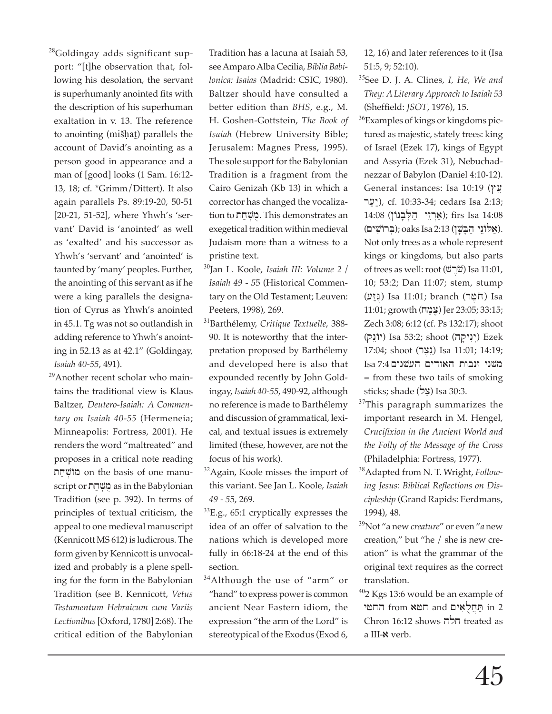<sup>28</sup>Goldingay adds significant support: "[t]he observation that, following his desolation, the servant is superhumanly anointed fits with the description of his superhuman exaltation in v. 13. The reference to anointing (mišhat) parallels the account of David's anointing as a person good in appearance and a man of [good] looks (1 Sam. 16:12- 13, 18; cf. \*Grimm/Dittert). It also again parallels Ps. 89:19-20, 50-51 [20-21, 51-52], where Yhwh's 'servant' David is 'anointed' as well as 'exalted' and his successor as Yhwh's 'servant' and 'anointed' is taunted by 'many' peoples. Further, the anointing of this servant as if he were a king parallels the designation of Cyrus as Yhwh's anointed in 45.1. Tg was not so outlandish in adding reference to Yhwh's anointing in 52.13 as at 42.1" (Goldingay, *Isaiah 40-55*, 491).

<sup>29</sup>Another recent scholar who maintains the traditional view is Klaus Baltzer, *Deutero-Isaiah: A Commentary on Isaiah 40-55* (Hermeneia; Minneapolis: Fortress, 2001). He renders the word "maltreated" and proposes in a critical note reading nמוֹשֵׁחַת on the basis of one manuscript or מִשְׁחַת as in the Babylonian Tradition (see p. 392). In terms of principles of textual criticism, the appeal to one medieval manuscript (Kennicott MS 612) is ludicrous. The form given by Kennicott is unvocalized and probably is a plene spelling for the form in the Babylonian Tradition (see B. Kennicott, *Vetus Testamentum Hebraicum cum Variis*  Lectionibus [Oxford, 1780] 2:68). The critical edition of the Babylonian

Tradition has a lacuna at Isaiah 53, see Amparo Alba Cecilia, *Biblia Babilonica: Isaias* (Madrid: CSIC, 1980). Baltzer should have consulted a better edition than *BHS*, e.g., M. H. Goshen-Gottstein, *The Book of Isaiah* (Hebrew University Bible; Jerusalem: Magnes Press, 1995). The sole support for the Babylonian Tradition is a fragment from the Cairo Genizah (Kb 13) in which a corrector has changed the vocalization to בּוֹשְׁחַת. This demonstrates an exegetical tradition within medieval Judaism more than a witness to a pristine text.

- <sup>30</sup>Jan L. Koole, *Isaiah III: Volume 2 / Isaiah 49 - 5*5 (Historical Commentary on the Old Testament; Leuven: Peeters, 1998), 269.
- <sup>31</sup>Barthélemy, *Critique Textuelle*, 388- 90. It is noteworthy that the interpretation proposed by Barthélemy and developed here is also that expounded recently by John Goldingay, *Isaiah 40-55*, 490-92, although no reference is made to Barthélemy and discussion of grammatical, lexical, and textual issues is extremely limited (these, however, are not the focus of his work).
- $32$ Again, Koole misses the import of this variant. See Jan L. Koole, *Isaiah 49 - 5*5, 269.
- $^{33}$ E.g., 65:1 cryptically expresses the idea of an offer of salvation to the nations which is developed more fully in 66:18-24 at the end of this section.
- <sup>34</sup>Although the use of "arm" or "hand" to express power is common ancient Near Eastern idiom, the ex pression "the arm of the Lord" is stereotypical of the Exodus (Exod 6,

12, 16) and later references to it (Isa 51:5, 9; 52:10).

- <sup>35</sup>See D. J. A. Clines, *I, He, We and They: A Literary Approach to Isaiah 53* (Sheffield: *JSOT*, 1976), 15.
- <sup>36</sup>Examples of kings or kingdoms pictured as majestic, stately trees: king of Israel (Ezek 17), kings of Egypt and Assyria (Ezek 31), Nebuchadnezzar of Babylon (Daniel 4:10-12). General instances: Isa 10:19 (עָץ יַעַר), cf. 10:33-34; cedars Isa 2:13; 14:08 (אָרְזִי הַלְבְנוֹן); firs Isa 14:08 (אַלוֹנֵי הַבַּשַׁן); oaks Isa 2:13 (בְּרוֹשִׁים). Not only trees as a whole represent kings or kingdoms, but also parts of trees as well: root (שֹׁרָשׁ) Isa 11:01, 10; 53:2; Dan 11:07; stem, stump (נַזַע) Isa 11:01; branch (הֹמֵר) Isa 11:01; growth (xm;c,) Jer 23:05; 33:15; Zech 3:08; 6:12 (cf. Ps 132:17); shoot (יִנִיקָה) Isa 53:2; shoot (יְנִיקָה) Ezek 17:04; shoot (נְצֶר) Isa 11:01; 14:19; Isa 7:4 השני האודים העשנים = from these two tails of smoking sticks; shade  $(22)$  Isa 30:3.
- <sup>37</sup>This paragraph summarizes the important research in M. Hengel, *Crucifi xion in the Ancient World and the Folly of the Message of the Cross* (Philadelphia: Fortress, 1977).
- <sup>38</sup>Adapted from N. T. Wright, *Follow*ing Jesus: Biblical Reflections on Dis*cipleship* (Grand Rapids: Eerdmans, 1994), 48.
- <sup>39</sup>Not "a new *creature*" or even "*a* new creation," but "he / she is new creation" is what the grammar of the original text requires as the correct translation.
- $402$  Kgs 13:6 would be an example of יתּחֲלְאִים and חָטֵא from and החטי  $Chron 16:12$  shows חלה treated as a III- $\aleph$  verb.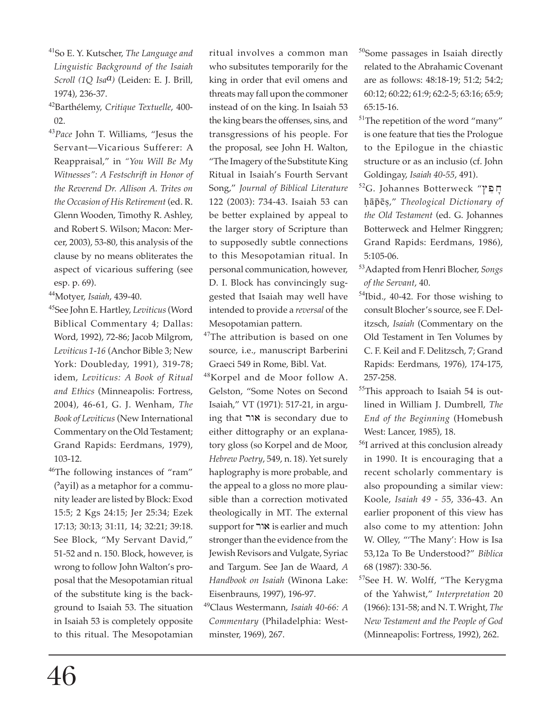- <sup>41</sup>So E. Y. Kutscher, *The Language and Linguistic Background of the Isaiah Scroll (1Q Isaa)* (Leiden: E. J. Brill, 1974), 236-37.
- <sup>42</sup>Barthélemy, *Critique Textuelle*, 400- 02.
- <sup>43</sup>*Pace* John T. Williams, "Jesus the Servant—Vicarious Sufferer: A Reappraisal," in *"You Will Be My Witnesses": A Festschrift in Honor of the Reverend Dr. Allison A. Trites on the Occasion of His Retirement* (ed. R. Glenn Wooden, Timothy R. Ashley, and Robert S. Wilson; Macon: Mercer, 2003), 53-80, this analysis of the clause by no means obliterates the aspect of vicarious suffering (see esp. p. 69).

<sup>44</sup>Motyer, *Isaiah*, 439-40.

- <sup>45</sup>See John E. Hartley, *Leviticus* (Word Biblical Commentary 4; Dallas: Word, 1992), 72-86; Jacob Milgrom, *Leviticus 1-16* (Anchor Bible 3; New York: Doubleday, 1991), 319-78; idem, *Leviticus: A Book of Ritual and Ethics* (Minneapolis: Fortress, 2004), 46-61, G. J. Wenham, *The Book of Leviticus* (New International Commentary on the Old Testament; Grand Rapids: Eerdmans, 1979), 103-12.
- <sup>46</sup>The following instances of "ram" ('ayil) as a metaphor for a community leader are listed by Block: Exod 15:5; 2 Kgs 24:15; Jer 25:34; Ezek 17:13; 30:13; 31:11, 14; 32:21; 39:18. See Block, "My Servant David," 51-52 and n. 150. Block, however, is wrong to follow John Walton's proposal that the Mesopotamian ritual of the substitute king is the background to Isaiah 53. The situation in Isaiah 53 is completely opposite to this ritual. The Mesopotamian

ritual involves a common man who subsitutes temporarily for the king in order that evil omens and threats may fall upon the commoner instead of on the king. In Isaiah 53 the king bears the offenses, sins, and transgressions of his people. For the proposal, see John H. Walton, "The Imagery of the Substitute King Ritual in Isaiah's Fourth Servant Song," *Journal of Biblical Literature* 122 (2003): 734-43. Isaiah 53 can be better explained by appeal to the larger story of Scripture than to supposedly subtle connections to this Mesopotamian ritual. In personal communication, however, D. I. Block has convincingly suggested that Isaiah may well have intended to provide a *reversal* of the Mesopotamian pattern.

- <sup>47</sup>The attribution is based on one source, i.e., manuscript Barberini Graeci 549 in Rome, Bibl. Vat.
- <sup>48</sup>Korpel and de Moor follow A. Gelston, "Some Notes on Second Isaiah," VT (1971): 517-21, in argu- $\log$  that **X** is secondary due to either dittography or an explanatory gloss (so Korpel and de Moor, *Hebrew Poetry*, 549, n. 18). Yet surely haplography is more probable, and the appeal to a gloss no more plausible than a correction motivated theologically in MT. The external support for אור is earlier and much stronger than the evidence from the Jewish Revisors and Vulgate, Syriac and Targum. See Jan de Waard, *A Handbook on Isaiah* (Winona Lake: Eisenbrauns, 1997), 196-97.
- <sup>49</sup>Claus Westermann, *Isaiah 40-66: A Commentary* (Philadelphia: Westminster, 1969), 267.
- <sup>50</sup>Some passages in Isaiah directly related to the Abrahamic Covenant are as follows: 48:18-19; 51:2; 54:2; 60:12; 60:22; 61:9; 62:2-5; 63:16; 65:9; 65:15-16.
- <sup>51</sup>The repetition of the word "many" is one feature that ties the Prologue to the Epilogue in the chiastic structure or as an inclusio (cf. John Goldingay, *Isaiah 40-55*, 491).
- 52G. Johannes Botterweck "פְק Häpëc," *Theological Dictionary of the Old Testament* (ed. G. Johannes Botterweck and Helmer Ringgren; Grand Rapids: Eerdmans, 1986), 5:105-06.
- <sup>53</sup>Adapted from Henri Blocher, *Songs of the Servant*, 40.
- <sup>54</sup>Ibid., 40-42. For those wishing to consult Blocher's source, see F. Delitzsch, *Isaiah* (Commentary on the Old Testament in Ten Volumes by C. F. Keil and F. Delitzsch, 7; Grand Rapids: Eerdmans, 1976), 174-175, 257-258.
- <sup>55</sup>This approach to Isaiah 54 is outlined in William J. Dumbrell, *The End of the Beginning* (Homebush West: Lancer, 1985), 18.
- <sup>56</sup>I arrived at this conclusion already in 1990. It is encouraging that a recent scholarly commentary is also propounding a similar view: Koole, *Isaiah 49 - 5*5, 336-43. An earlier proponent of this view has also come to my attention: John W. Olley, "'The Many': How is Isa 53,12a To Be Understood?" Biblica 68 (1987): 330-56.
- <sup>57</sup>See H. W. Wolff, "The Kerygma of the Yahwist," *Interpretation* 20 (1966): 131-58; and N. T. Wright, *The New Testament and the People of God* (Minneapolis: Fortress, 1992), 262.